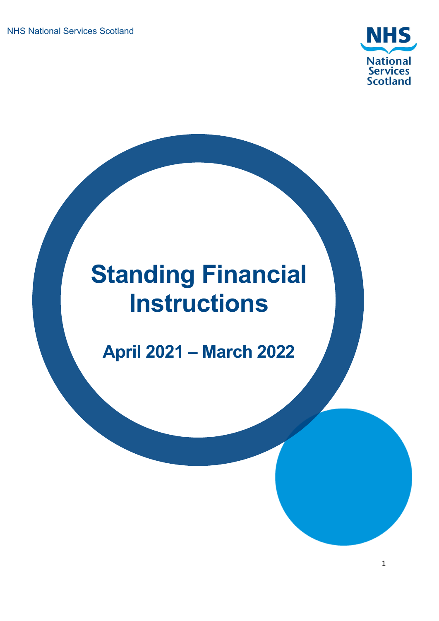

# **Standing Financial Instructions**

**April 2021 – March 2022**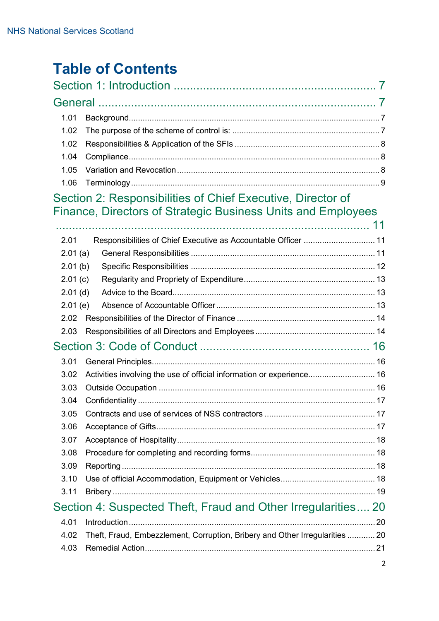# **Table of Contents**

| 1.01                                                          |                                                                              |  |
|---------------------------------------------------------------|------------------------------------------------------------------------------|--|
| 1.02                                                          |                                                                              |  |
| 1.02                                                          |                                                                              |  |
| 1.04                                                          |                                                                              |  |
| 1.05                                                          |                                                                              |  |
| 1.06                                                          |                                                                              |  |
|                                                               | Section 2: Responsibilities of Chief Executive, Director of                  |  |
|                                                               | Finance, Directors of Strategic Business Units and Employees                 |  |
|                                                               |                                                                              |  |
| 2.01                                                          | Responsibilities of Chief Executive as Accountable Officer  11               |  |
| 2.01(a)                                                       |                                                                              |  |
| 2.01(b)                                                       |                                                                              |  |
| 2.01(c)                                                       |                                                                              |  |
| $2.01$ (d)                                                    |                                                                              |  |
| 2.01(e)                                                       |                                                                              |  |
| 2.02                                                          |                                                                              |  |
| 2.03                                                          |                                                                              |  |
|                                                               |                                                                              |  |
| 3.01                                                          |                                                                              |  |
| 3.02                                                          | Activities involving the use of official information or experience 16        |  |
| 3.03                                                          |                                                                              |  |
| 3.04                                                          |                                                                              |  |
| 3.05                                                          |                                                                              |  |
| 3.06                                                          |                                                                              |  |
| 3.07                                                          |                                                                              |  |
| 3.08                                                          |                                                                              |  |
| 3.09                                                          |                                                                              |  |
| 3.10                                                          |                                                                              |  |
| 3.11                                                          |                                                                              |  |
| Section 4: Suspected Theft, Fraud and Other Irregularities 20 |                                                                              |  |
| 4.01                                                          |                                                                              |  |
| 4.02                                                          | Theft, Fraud, Embezzlement, Corruption, Bribery and Other Irregularities  20 |  |
| 4.03                                                          |                                                                              |  |
|                                                               |                                                                              |  |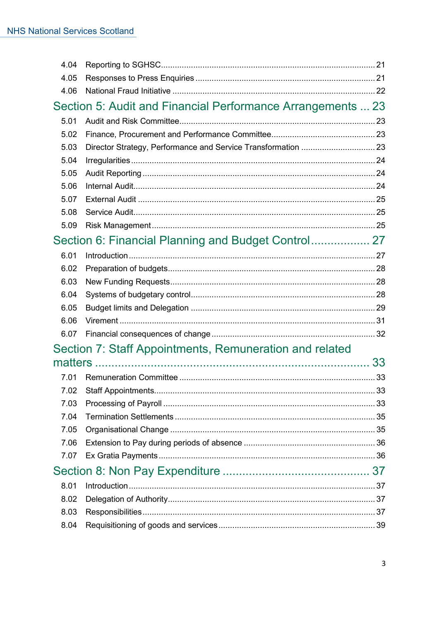| 4.04 |                                                             |    |
|------|-------------------------------------------------------------|----|
| 4.05 |                                                             |    |
| 4.06 |                                                             |    |
|      | Section 5: Audit and Financial Performance Arrangements  23 |    |
| 5.01 |                                                             |    |
| 5.02 |                                                             |    |
| 5.03 |                                                             |    |
| 5.04 |                                                             |    |
| 5.05 |                                                             |    |
| 5.06 |                                                             |    |
| 5.07 |                                                             |    |
| 5.08 |                                                             |    |
| 5.09 |                                                             |    |
|      | Section 6: Financial Planning and Budget Control 27         |    |
| 6.01 |                                                             |    |
| 6.02 |                                                             |    |
| 6.03 |                                                             |    |
| 6.04 |                                                             |    |
| 6.05 |                                                             |    |
| 6.06 |                                                             |    |
| 6.07 |                                                             |    |
|      | Section 7: Staff Appointments, Remuneration and related     |    |
|      |                                                             | 33 |
| 7.01 |                                                             |    |
|      |                                                             |    |
| 7.03 |                                                             |    |
| 7.04 |                                                             |    |
| 7.05 |                                                             |    |
| 7.06 |                                                             |    |
| 7.07 |                                                             |    |
|      |                                                             |    |
| 8.01 |                                                             |    |
| 8.02 |                                                             |    |
| 8.03 |                                                             |    |
| 8.04 |                                                             |    |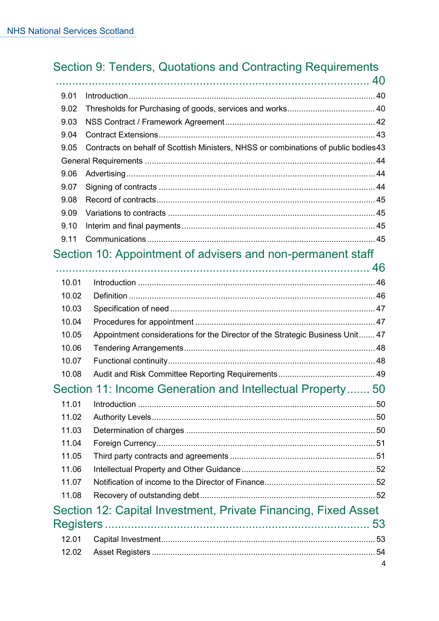# Section 9: Tenders, Quotations and Contracting Requirements

| 9.01 |                                                                                    |  |
|------|------------------------------------------------------------------------------------|--|
| 9.02 |                                                                                    |  |
| 9.03 |                                                                                    |  |
| 9.04 |                                                                                    |  |
| 9.05 | Contracts on behalf of Scottish Ministers, NHSS or combinations of public bodies43 |  |
|      |                                                                                    |  |
| 9.06 |                                                                                    |  |
| 9.07 |                                                                                    |  |
| 9.08 |                                                                                    |  |
| 9.09 |                                                                                    |  |
| 9.10 |                                                                                    |  |
| 9.11 |                                                                                    |  |
|      |                                                                                    |  |

# Section 10: Appointment of advisers and non-permanent staff

| 10.01     |                                                                               |    |
|-----------|-------------------------------------------------------------------------------|----|
| 10.02     |                                                                               |    |
| 10.03     |                                                                               |    |
| 10.04     |                                                                               |    |
| 10.05     | Appointment considerations for the Director of the Strategic Business Unit 47 |    |
| 10.06     |                                                                               |    |
| 10.07     |                                                                               |    |
| 10.08     |                                                                               |    |
|           | Section 11: Income Generation and Intellectual Property 50                    |    |
| 11.01     |                                                                               |    |
| 11.02     |                                                                               |    |
| 11.03     |                                                                               |    |
| 11.04     |                                                                               |    |
| 11.05     |                                                                               |    |
| 11.06     |                                                                               |    |
| 11.07     |                                                                               |    |
| 11.08     |                                                                               |    |
|           | Section 12: Capital Investment, Private Financing, Fixed Asset                |    |
| Registers |                                                                               | 53 |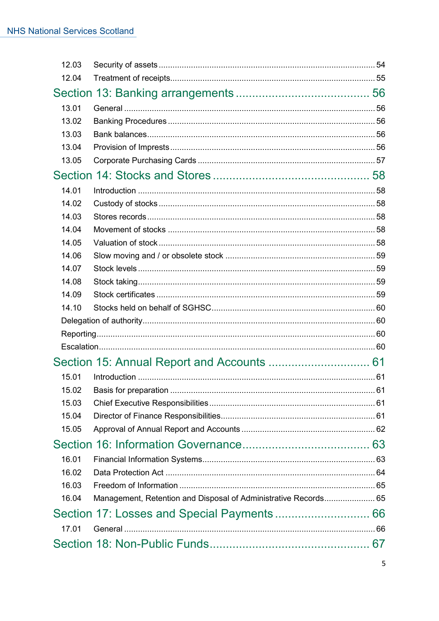| 12.03 |                                                                 |  |  |
|-------|-----------------------------------------------------------------|--|--|
| 12.04 |                                                                 |  |  |
|       |                                                                 |  |  |
| 13.01 |                                                                 |  |  |
| 13.02 |                                                                 |  |  |
| 13.03 |                                                                 |  |  |
| 13.04 |                                                                 |  |  |
| 13.05 |                                                                 |  |  |
|       |                                                                 |  |  |
| 14.01 |                                                                 |  |  |
| 14.02 |                                                                 |  |  |
| 14.03 |                                                                 |  |  |
| 14.04 |                                                                 |  |  |
| 14.05 |                                                                 |  |  |
| 14.06 |                                                                 |  |  |
| 14.07 |                                                                 |  |  |
| 14.08 |                                                                 |  |  |
| 14.09 |                                                                 |  |  |
| 14.10 |                                                                 |  |  |
|       |                                                                 |  |  |
|       |                                                                 |  |  |
|       |                                                                 |  |  |
|       |                                                                 |  |  |
| 15.01 |                                                                 |  |  |
|       |                                                                 |  |  |
| 15.03 |                                                                 |  |  |
| 15.04 |                                                                 |  |  |
| 15.05 |                                                                 |  |  |
|       |                                                                 |  |  |
| 16.01 |                                                                 |  |  |
| 16.02 |                                                                 |  |  |
| 16.03 |                                                                 |  |  |
| 16.04 | Management, Retention and Disposal of Administrative Records 65 |  |  |
|       |                                                                 |  |  |
| 17.01 |                                                                 |  |  |
|       |                                                                 |  |  |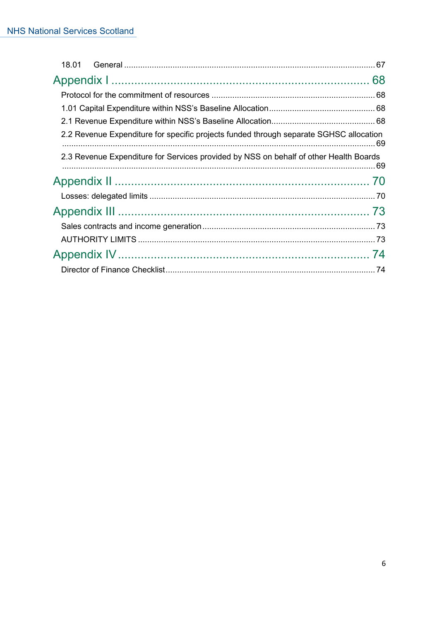| 2.2 Revenue Expenditure for specific projects funded through separate SGHSC allocation |    |
|----------------------------------------------------------------------------------------|----|
| 2.3 Revenue Expenditure for Services provided by NSS on behalf of other Health Boards  |    |
|                                                                                        |    |
|                                                                                        |    |
|                                                                                        |    |
|                                                                                        |    |
|                                                                                        |    |
|                                                                                        | 74 |
|                                                                                        |    |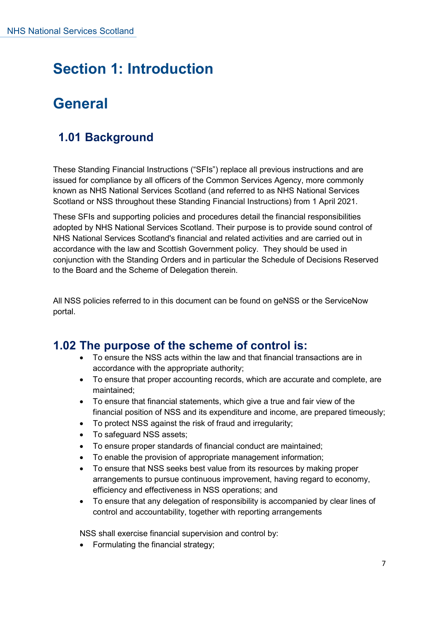# <span id="page-6-1"></span><span id="page-6-0"></span>**Section 1: Introduction**

# **General**

# <span id="page-6-2"></span>**1.01 Background**

These Standing Financial Instructions ("SFIs") replace all previous instructions and are issued for compliance by all officers of the Common Services Agency, more commonly known as NHS National Services Scotland (and referred to as NHS National Services Scotland or NSS throughout these Standing Financial Instructions) from 1 April 2021.

These SFIs and supporting policies and procedures detail the financial responsibilities adopted by NHS National Services Scotland. Their purpose is to provide sound control of NHS National Services Scotland's financial and related activities and are carried out in accordance with the law and Scottish Government policy. They should be used in conjunction with the Standing Orders and in particular the Schedule of Decisions Reserved to the Board and the Scheme of Delegation therein.

All NSS policies referred to in this document can be found on geNSS or the ServiceNow portal.

#### <span id="page-6-3"></span>**1.02 The purpose of the scheme of control is:**

- To ensure the NSS acts within the law and that financial transactions are in accordance with the appropriate authority;
- To ensure that proper accounting records, which are accurate and complete, are maintained;
- To ensure that financial statements, which give a true and fair view of the financial position of NSS and its expenditure and income, are prepared timeously;
- To protect NSS against the risk of fraud and irregularity;
- To safeguard NSS assets;
- To ensure proper standards of financial conduct are maintained;
- To enable the provision of appropriate management information;
- To ensure that NSS seeks best value from its resources by making proper arrangements to pursue continuous improvement, having regard to economy, efficiency and effectiveness in NSS operations; and
- To ensure that any delegation of responsibility is accompanied by clear lines of control and accountability, together with reporting arrangements

NSS shall exercise financial supervision and control by:

• Formulating the financial strategy;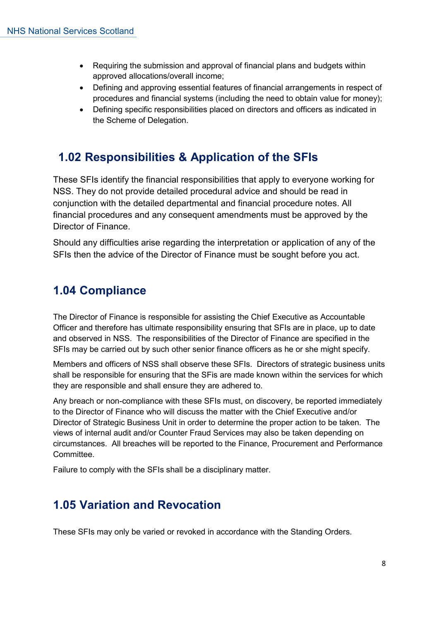- Requiring the submission and approval of financial plans and budgets within approved allocations/overall income;
- Defining and approving essential features of financial arrangements in respect of procedures and financial systems (including the need to obtain value for money);
- Defining specific responsibilities placed on directors and officers as indicated in the Scheme of Delegation.

# <span id="page-7-0"></span>**1.02 Responsibilities & Application of the SFIs**

These SFIs identify the financial responsibilities that apply to everyone working for NSS. They do not provide detailed procedural advice and should be read in conjunction with the detailed departmental and financial procedure notes. All financial procedures and any consequent amendments must be approved by the Director of Finance.

Should any difficulties arise regarding the interpretation or application of any of the SFIs then the advice of the Director of Finance must be sought before you act.

# <span id="page-7-1"></span>**1.04 Compliance**

The Director of Finance is responsible for assisting the Chief Executive as Accountable Officer and therefore has ultimate responsibility ensuring that SFIs are in place, up to date and observed in NSS. The responsibilities of the Director of Finance are specified in the SFIs may be carried out by such other senior finance officers as he or she might specify.

Members and officers of NSS shall observe these SFIs. Directors of strategic business units shall be responsible for ensuring that the SFis are made known within the services for which they are responsible and shall ensure they are adhered to.

Any breach or non-compliance with these SFIs must, on discovery, be reported immediately to the Director of Finance who will discuss the matter with the Chief Executive and/or Director of Strategic Business Unit in order to determine the proper action to be taken. The views of internal audit and/or Counter Fraud Services may also be taken depending on circumstances. All breaches will be reported to the Finance, Procurement and Performance Committee.

Failure to comply with the SFIs shall be a disciplinary matter.

# <span id="page-7-2"></span>**1.05 Variation and Revocation**

These SFIs may only be varied or revoked in accordance with the Standing Orders.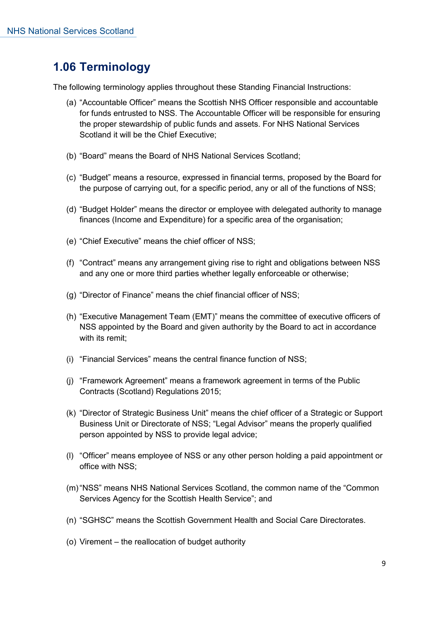# <span id="page-8-0"></span>**1.06 Terminology**

The following terminology applies throughout these Standing Financial Instructions:

- (a) "Accountable Officer" means the Scottish NHS Officer responsible and accountable for funds entrusted to NSS. The Accountable Officer will be responsible for ensuring the proper stewardship of public funds and assets. For NHS National Services Scotland it will be the Chief Executive;
- (b) "Board" means the Board of NHS National Services Scotland;
- (c) "Budget" means a resource, expressed in financial terms, proposed by the Board for the purpose of carrying out, for a specific period, any or all of the functions of NSS;
- (d) "Budget Holder" means the director or employee with delegated authority to manage finances (Income and Expenditure) for a specific area of the organisation;
- (e) "Chief Executive" means the chief officer of NSS;
- (f) "Contract" means any arrangement giving rise to right and obligations between NSS and any one or more third parties whether legally enforceable or otherwise;
- (g) "Director of Finance" means the chief financial officer of NSS;
- (h) "Executive Management Team (EMT)" means the committee of executive officers of NSS appointed by the Board and given authority by the Board to act in accordance with its remit;
- (i) "Financial Services" means the central finance function of NSS;
- (j) "Framework Agreement" means a framework agreement in terms of the Public Contracts (Scotland) Regulations 2015;
- (k) "Director of Strategic Business Unit" means the chief officer of a Strategic or Support Business Unit or Directorate of NSS; "Legal Advisor" means the properly qualified person appointed by NSS to provide legal advice;
- (l) "Officer" means employee of NSS or any other person holding a paid appointment or office with NSS;
- (m)"NSS" means NHS National Services Scotland, the common name of the "Common Services Agency for the Scottish Health Service"; and
- (n) "SGHSC" means the Scottish Government Health and Social Care Directorates.
- (o) Virement the reallocation of budget authority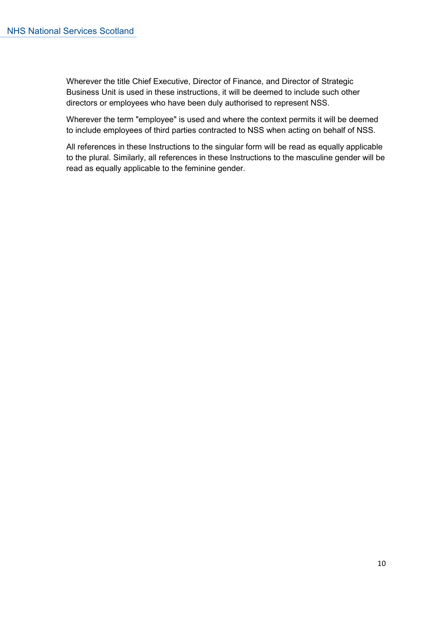Wherever the title Chief Executive, Director of Finance, and Director of Strategic Business Unit is used in these instructions, it will be deemed to include such other directors or employees who have been duly authorised to represent NSS.

Wherever the term "employee" is used and where the context permits it will be deemed to include employees of third parties contracted to NSS when acting on behalf of NSS.

All references in these Instructions to the singular form will be read as equally applicable to the plural. Similarly, all references in these Instructions to the masculine gender will be read as equally applicable to the feminine gender.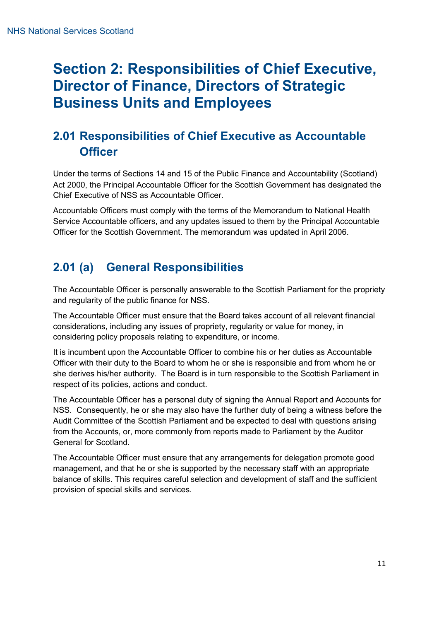# <span id="page-10-0"></span>**Section 2: Responsibilities of Chief Executive, Director of Finance, Directors of Strategic Business Units and Employees**

# <span id="page-10-1"></span>**2.01 Responsibilities of Chief Executive as Accountable Officer**

Under the terms of Sections 14 and 15 of the Public Finance and Accountability (Scotland) Act 2000, the Principal Accountable Officer for the Scottish Government has designated the Chief Executive of NSS as Accountable Officer.

Accountable Officers must comply with the terms of the Memorandum to National Health Service Accountable officers, and any updates issued to them by the Principal Accountable Officer for the Scottish Government. The memorandum was updated in April 2006.

# <span id="page-10-2"></span>**2.01 (a) General Responsibilities**

The Accountable Officer is personally answerable to the Scottish Parliament for the propriety and regularity of the public finance for NSS.

The Accountable Officer must ensure that the Board takes account of all relevant financial considerations, including any issues of propriety, regularity or value for money, in considering policy proposals relating to expenditure, or income.

It is incumbent upon the Accountable Officer to combine his or her duties as Accountable Officer with their duty to the Board to whom he or she is responsible and from whom he or she derives his/her authority. The Board is in turn responsible to the Scottish Parliament in respect of its policies, actions and conduct.

The Accountable Officer has a personal duty of signing the Annual Report and Accounts for NSS. Consequently, he or she may also have the further duty of being a witness before the Audit Committee of the Scottish Parliament and be expected to deal with questions arising from the Accounts, or, more commonly from reports made to Parliament by the Auditor General for Scotland.

The Accountable Officer must ensure that any arrangements for delegation promote good management, and that he or she is supported by the necessary staff with an appropriate balance of skills. This requires careful selection and development of staff and the sufficient provision of special skills and services.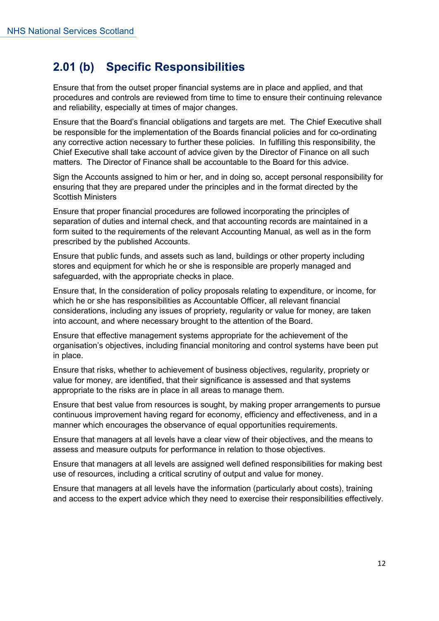# <span id="page-11-0"></span>**2.01 (b) Specific Responsibilities**

Ensure that from the outset proper financial systems are in place and applied, and that procedures and controls are reviewed from time to time to ensure their continuing relevance and reliability, especially at times of major changes.

Ensure that the Board's financial obligations and targets are met. The Chief Executive shall be responsible for the implementation of the Boards financial policies and for co-ordinating any corrective action necessary to further these policies. In fulfilling this responsibility, the Chief Executive shall take account of advice given by the Director of Finance on all such matters. The Director of Finance shall be accountable to the Board for this advice.

Sign the Accounts assigned to him or her, and in doing so, accept personal responsibility for ensuring that they are prepared under the principles and in the format directed by the Scottish Ministers

Ensure that proper financial procedures are followed incorporating the principles of separation of duties and internal check, and that accounting records are maintained in a form suited to the requirements of the relevant Accounting Manual, as well as in the form prescribed by the published Accounts.

Ensure that public funds, and assets such as land, buildings or other property including stores and equipment for which he or she is responsible are properly managed and safeguarded, with the appropriate checks in place.

Ensure that, In the consideration of policy proposals relating to expenditure, or income, for which he or she has responsibilities as Accountable Officer, all relevant financial considerations, including any issues of propriety, regularity or value for money, are taken into account, and where necessary brought to the attention of the Board.

Ensure that effective management systems appropriate for the achievement of the organisation's objectives, including financial monitoring and control systems have been put in place.

Ensure that risks, whether to achievement of business objectives, regularity, propriety or value for money, are identified, that their significance is assessed and that systems appropriate to the risks are in place in all areas to manage them.

Ensure that best value from resources is sought, by making proper arrangements to pursue continuous improvement having regard for economy, efficiency and effectiveness, and in a manner which encourages the observance of equal opportunities requirements.

Ensure that managers at all levels have a clear view of their objectives, and the means to assess and measure outputs for performance in relation to those objectives.

Ensure that managers at all levels are assigned well defined responsibilities for making best use of resources, including a critical scrutiny of output and value for money.

Ensure that managers at all levels have the information (particularly about costs), training and access to the expert advice which they need to exercise their responsibilities effectively.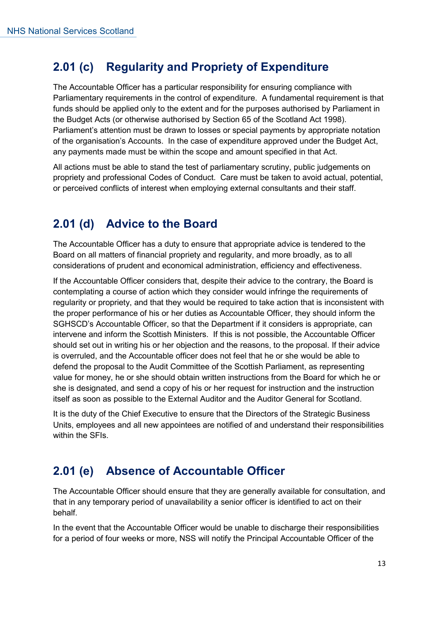# <span id="page-12-0"></span>**2.01 (c) Regularity and Propriety of Expenditure**

The Accountable Officer has a particular responsibility for ensuring compliance with Parliamentary requirements in the control of expenditure. A fundamental requirement is that funds should be applied only to the extent and for the purposes authorised by Parliament in the Budget Acts (or otherwise authorised by Section 65 of the Scotland Act 1998). Parliament's attention must be drawn to losses or special payments by appropriate notation of the organisation's Accounts. In the case of expenditure approved under the Budget Act, any payments made must be within the scope and amount specified in that Act.

All actions must be able to stand the test of parliamentary scrutiny, public judgements on propriety and professional Codes of Conduct. Care must be taken to avoid actual, potential, or perceived conflicts of interest when employing external consultants and their staff.

# <span id="page-12-1"></span>**2.01 (d) Advice to the Board**

The Accountable Officer has a duty to ensure that appropriate advice is tendered to the Board on all matters of financial propriety and regularity, and more broadly, as to all considerations of prudent and economical administration, efficiency and effectiveness.

If the Accountable Officer considers that, despite their advice to the contrary, the Board is contemplating a course of action which they consider would infringe the requirements of regularity or propriety, and that they would be required to take action that is inconsistent with the proper performance of his or her duties as Accountable Officer, they should inform the SGHSCD's Accountable Officer, so that the Department if it considers is appropriate, can intervene and inform the Scottish Ministers. If this is not possible, the Accountable Officer should set out in writing his or her objection and the reasons, to the proposal. If their advice is overruled, and the Accountable officer does not feel that he or she would be able to defend the proposal to the Audit Committee of the Scottish Parliament, as representing value for money, he or she should obtain written instructions from the Board for which he or she is designated, and send a copy of his or her request for instruction and the instruction itself as soon as possible to the External Auditor and the Auditor General for Scotland.

It is the duty of the Chief Executive to ensure that the Directors of the Strategic Business Units, employees and all new appointees are notified of and understand their responsibilities within the SFIs.

# <span id="page-12-2"></span>**2.01 (e) Absence of Accountable Officer**

The Accountable Officer should ensure that they are generally available for consultation, and that in any temporary period of unavailability a senior officer is identified to act on their behalf.

In the event that the Accountable Officer would be unable to discharge their responsibilities for a period of four weeks or more, NSS will notify the Principal Accountable Officer of the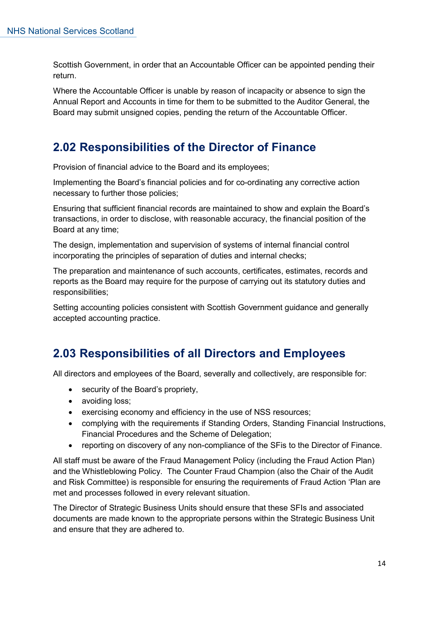Scottish Government, in order that an Accountable Officer can be appointed pending their return.

Where the Accountable Officer is unable by reason of incapacity or absence to sign the Annual Report and Accounts in time for them to be submitted to the Auditor General, the Board may submit unsigned copies, pending the return of the Accountable Officer.

# <span id="page-13-0"></span>**2.02 Responsibilities of the Director of Finance**

Provision of financial advice to the Board and its employees;

Implementing the Board's financial policies and for co-ordinating any corrective action necessary to further those policies;

Ensuring that sufficient financial records are maintained to show and explain the Board's transactions, in order to disclose, with reasonable accuracy, the financial position of the Board at any time;

The design, implementation and supervision of systems of internal financial control incorporating the principles of separation of duties and internal checks;

The preparation and maintenance of such accounts, certificates, estimates, records and reports as the Board may require for the purpose of carrying out its statutory duties and responsibilities;

Setting accounting policies consistent with Scottish Government guidance and generally accepted accounting practice.

# <span id="page-13-1"></span>**2.03 Responsibilities of all Directors and Employees**

All directors and employees of the Board, severally and collectively, are responsible for:

- security of the Board's propriety,
- avoiding loss;
- exercising economy and efficiency in the use of NSS resources;
- complying with the requirements if Standing Orders, Standing Financial Instructions, Financial Procedures and the Scheme of Delegation;
- reporting on discovery of any non-compliance of the SFis to the Director of Finance.

All staff must be aware of the Fraud Management Policy (including the Fraud Action Plan) and the Whistleblowing Policy. The Counter Fraud Champion (also the Chair of the Audit and Risk Committee) is responsible for ensuring the requirements of Fraud Action 'Plan are met and processes followed in every relevant situation.

The Director of Strategic Business Units should ensure that these SFIs and associated documents are made known to the appropriate persons within the Strategic Business Unit and ensure that they are adhered to.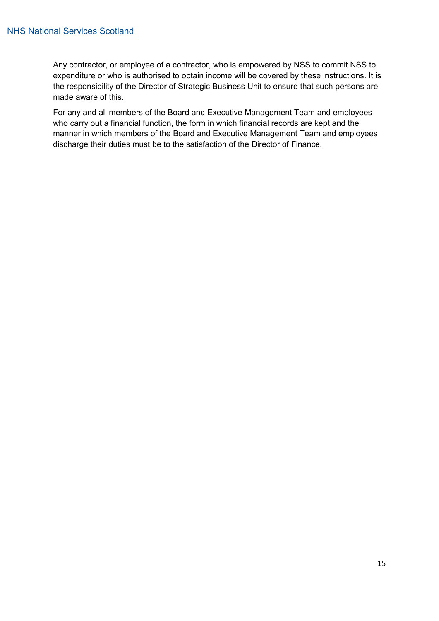Any contractor, or employee of a contractor, who is empowered by NSS to commit NSS to expenditure or who is authorised to obtain income will be covered by these instructions. It is the responsibility of the Director of Strategic Business Unit to ensure that such persons are made aware of this.

For any and all members of the Board and Executive Management Team and employees who carry out a financial function, the form in which financial records are kept and the manner in which members of the Board and Executive Management Team and employees discharge their duties must be to the satisfaction of the Director of Finance.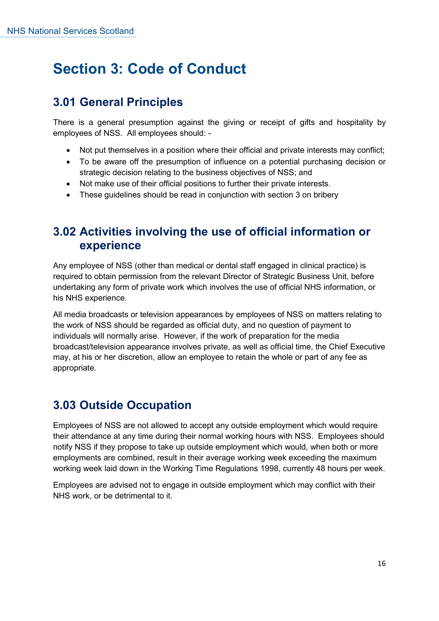# <span id="page-15-0"></span>**Section 3: Code of Conduct**

# <span id="page-15-1"></span>**3.01 General Principles**

There is a general presumption against the giving or receipt of gifts and hospitality by employees of NSS. All employees should: -

- Not put themselves in a position where their official and private interests may conflict;
- To be aware off the presumption of influence on a potential purchasing decision or strategic decision relating to the business objectives of NSS; and
- Not make use of their official positions to further their private interests.
- These guidelines should be read in conjunction with section 3 on bribery

#### <span id="page-15-2"></span>**3.02 Activities involving the use of official information or experience**

Any employee of NSS (other than medical or dental staff engaged in clinical practice) is required to obtain permission from the relevant Director of Strategic Business Unit, before undertaking any form of private work which involves the use of official NHS information, or his NHS experience.

All media broadcasts or television appearances by employees of NSS on matters relating to the work of NSS should be regarded as official duty, and no question of payment to individuals will normally arise. However, if the work of preparation for the media broadcast/television appearance involves private, as well as official time, the Chief Executive may, at his or her discretion, allow an employee to retain the whole or part of any fee as appropriate.

# <span id="page-15-3"></span>**3.03 Outside Occupation**

Employees of NSS are not allowed to accept any outside employment which would require their attendance at any time during their normal working hours with NSS. Employees should notify NSS if they propose to take up outside employment which would, when both or more employments are combined, result in their average working week exceeding the maximum working week laid down in the Working Time Regulations 1998, currently 48 hours per week.

Employees are advised not to engage in outside employment which may conflict with their NHS work, or be detrimental to it.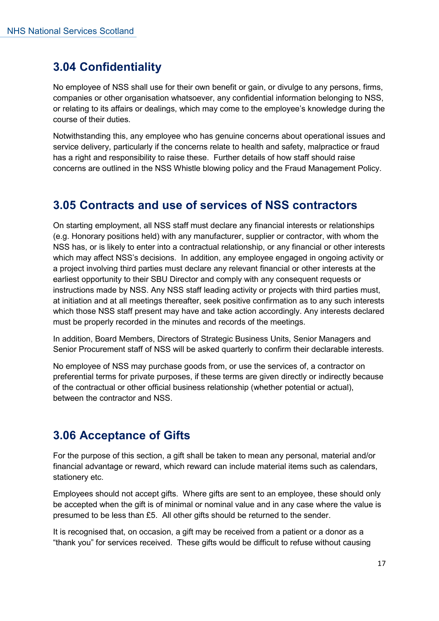# <span id="page-16-0"></span>**3.04 Confidentiality**

No employee of NSS shall use for their own benefit or gain, or divulge to any persons, firms, companies or other organisation whatsoever, any confidential information belonging to NSS, or relating to its affairs or dealings, which may come to the employee's knowledge during the course of their duties.

Notwithstanding this, any employee who has genuine concerns about operational issues and service delivery, particularly if the concerns relate to health and safety, malpractice or fraud has a right and responsibility to raise these. Further details of how staff should raise concerns are outlined in the NSS Whistle blowing policy and the Fraud Management Policy.

#### <span id="page-16-1"></span>**3.05 Contracts and use of services of NSS contractors**

On starting employment, all NSS staff must declare any financial interests or relationships (e.g. Honorary positions held) with any manufacturer, supplier or contractor, with whom the NSS has, or is likely to enter into a contractual relationship, or any financial or other interests which may affect NSS's decisions. In addition, any employee engaged in ongoing activity or a project involving third parties must declare any relevant financial or other interests at the earliest opportunity to their SBU Director and comply with any consequent requests or instructions made by NSS. Any NSS staff leading activity or projects with third parties must, at initiation and at all meetings thereafter, seek positive confirmation as to any such interests which those NSS staff present may have and take action accordingly. Any interests declared must be properly recorded in the minutes and records of the meetings.

In addition, Board Members, Directors of Strategic Business Units, Senior Managers and Senior Procurement staff of NSS will be asked quarterly to confirm their declarable interests.

No employee of NSS may purchase goods from, or use the services of, a contractor on preferential terms for private purposes, if these terms are given directly or indirectly because of the contractual or other official business relationship (whether potential or actual), between the contractor and NSS.

# <span id="page-16-2"></span>**3.06 Acceptance of Gifts**

For the purpose of this section, a gift shall be taken to mean any personal, material and/or financial advantage or reward, which reward can include material items such as calendars, stationery etc.

Employees should not accept gifts. Where gifts are sent to an employee, these should only be accepted when the gift is of minimal or nominal value and in any case where the value is presumed to be less than £5. All other gifts should be returned to the sender.

It is recognised that, on occasion, a gift may be received from a patient or a donor as a "thank you" for services received. These gifts would be difficult to refuse without causing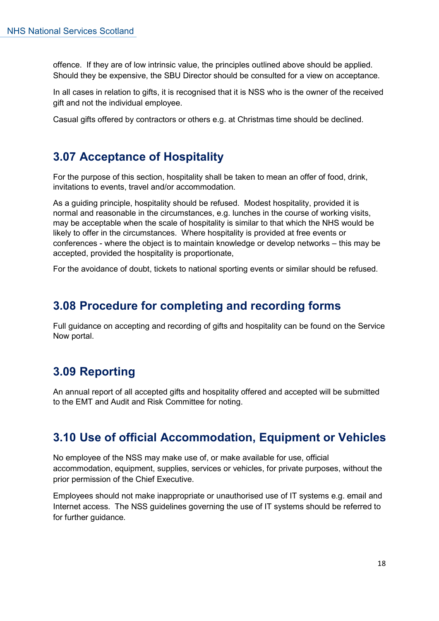offence. If they are of low intrinsic value, the principles outlined above should be applied. Should they be expensive, the SBU Director should be consulted for a view on acceptance.

In all cases in relation to gifts, it is recognised that it is NSS who is the owner of the received gift and not the individual employee.

Casual gifts offered by contractors or others e.g. at Christmas time should be declined.

#### <span id="page-17-0"></span>**3.07 Acceptance of Hospitality**

For the purpose of this section, hospitality shall be taken to mean an offer of food, drink, invitations to events, travel and/or accommodation.

As a guiding principle, hospitality should be refused. Modest hospitality, provided it is normal and reasonable in the circumstances, e.g. lunches in the course of working visits, may be acceptable when the scale of hospitality is similar to that which the NHS would be likely to offer in the circumstances. Where hospitality is provided at free events or conferences - where the object is to maintain knowledge or develop networks – this may be accepted, provided the hospitality is proportionate,

For the avoidance of doubt, tickets to national sporting events or similar should be refused.

#### <span id="page-17-1"></span>**3.08 Procedure for completing and recording forms**

Full guidance on accepting and recording of gifts and hospitality can be found on the Service Now portal.

#### <span id="page-17-2"></span>**3.09 Reporting**

An annual report of all accepted gifts and hospitality offered and accepted will be submitted to the EMT and Audit and Risk Committee for noting.

# <span id="page-17-3"></span>**3.10 Use of official Accommodation, Equipment or Vehicles**

No employee of the NSS may make use of, or make available for use, official accommodation, equipment, supplies, services or vehicles, for private purposes, without the prior permission of the Chief Executive.

Employees should not make inappropriate or unauthorised use of IT systems e.g. email and Internet access. The NSS guidelines governing the use of IT systems should be referred to for further guidance.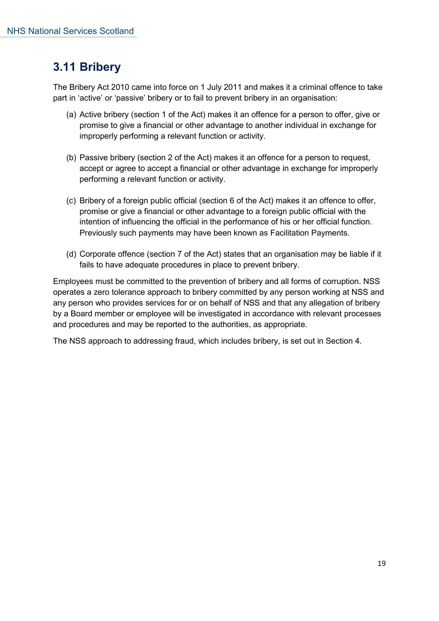# <span id="page-18-0"></span>**3.11 Bribery**

The Bribery Act 2010 came into force on 1 July 2011 and makes it a criminal offence to take part in 'active' or 'passive' bribery or to fail to prevent bribery in an organisation:

- (a) Active bribery (section 1 of the Act) makes it an offence for a person to offer, give or promise to give a financial or other advantage to another individual in exchange for improperly performing a relevant function or activity.
- (b) Passive bribery (section 2 of the Act) makes it an offence for a person to request, accept or agree to accept a financial or other advantage in exchange for improperly performing a relevant function or activity.
- (c) Bribery of a foreign public official (section 6 of the Act) makes it an offence to offer, promise or give a financial or other advantage to a foreign public official with the intention of influencing the official in the performance of his or her official function. Previously such payments may have been known as Facilitation Payments.
- (d) Corporate offence (section 7 of the Act) states that an organisation may be liable if it fails to have adequate procedures in place to prevent bribery.

Employees must be committed to the prevention of bribery and all forms of corruption. NSS operates a zero tolerance approach to bribery committed by any person working at NSS and any person who provides services for or on behalf of NSS and that any allegation of bribery by a Board member or employee will be investigated in accordance with relevant processes and procedures and may be reported to the authorities, as appropriate.

The NSS approach to addressing fraud, which includes bribery, is set out in Section 4.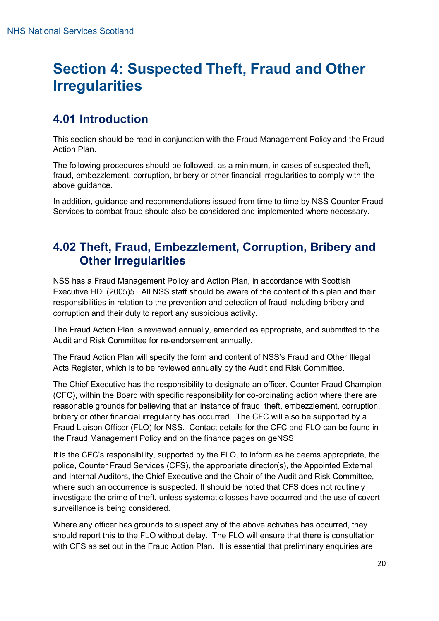# <span id="page-19-0"></span>**Section 4: Suspected Theft, Fraud and Other Irregularities**

# <span id="page-19-1"></span>**4.01 Introduction**

This section should be read in conjunction with the Fraud Management Policy and the Fraud Action Plan.

The following procedures should be followed, as a minimum, in cases of suspected theft, fraud, embezzlement, corruption, bribery or other financial irregularities to comply with the above guidance.

In addition, guidance and recommendations issued from time to time by NSS Counter Fraud Services to combat fraud should also be considered and implemented where necessary.

### <span id="page-19-2"></span>**4.02 Theft, Fraud, Embezzlement, Corruption, Bribery and Other Irregularities**

NSS has a Fraud Management Policy and Action Plan, in accordance with Scottish Executive HDL(2005)5. All NSS staff should be aware of the content of this plan and their responsibilities in relation to the prevention and detection of fraud including bribery and corruption and their duty to report any suspicious activity.

The Fraud Action Plan is reviewed annually, amended as appropriate, and submitted to the Audit and Risk Committee for re-endorsement annually.

The Fraud Action Plan will specify the form and content of NSS's Fraud and Other Illegal Acts Register, which is to be reviewed annually by the Audit and Risk Committee.

The Chief Executive has the responsibility to designate an officer, Counter Fraud Champion (CFC), within the Board with specific responsibility for co-ordinating action where there are reasonable grounds for believing that an instance of fraud, theft, embezzlement, corruption, bribery or other financial irregularity has occurred. The CFC will also be supported by a Fraud Liaison Officer (FLO) for NSS. Contact details for the CFC and FLO can be found in the Fraud Management Policy and on the finance pages on geNSS

It is the CFC's responsibility, supported by the FLO, to inform as he deems appropriate, the police, Counter Fraud Services (CFS), the appropriate director(s), the Appointed External and Internal Auditors, the Chief Executive and the Chair of the Audit and Risk Committee, where such an occurrence is suspected. It should be noted that CFS does not routinely investigate the crime of theft, unless systematic losses have occurred and the use of covert surveillance is being considered.

Where any officer has grounds to suspect any of the above activities has occurred, they should report this to the FLO without delay. The FLO will ensure that there is consultation with CFS as set out in the Fraud Action Plan. It is essential that preliminary enquiries are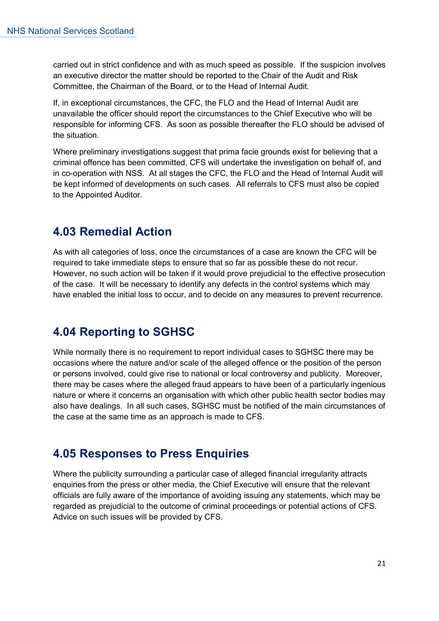carried out in strict confidence and with as much speed as possible. If the suspicion involves an executive director the matter should be reported to the Chair of the Audit and Risk Committee, the Chairman of the Board, or to the Head of Internal Audit.

If, in exceptional circumstances, the CFC, the FLO and the Head of Internal Audit are unavailable the officer should report the circumstances to the Chief Executive who will be responsible for informing CFS. As soon as possible thereafter the FLO should be advised of the situation.

Where preliminary investigations suggest that prima facie grounds exist for believing that a criminal offence has been committed, CFS will undertake the investigation on behalf of, and in co-operation with NSS. At all stages the CFC, the FLO and the Head of Internal Audit will be kept informed of developments on such cases. All referrals to CFS must also be copied to the Appointed Auditor.

#### <span id="page-20-0"></span>**4.03 Remedial Action**

As with all categories of loss, once the circumstances of a case are known the CFC will be required to take immediate steps to ensure that so far as possible these do not recur. However, no such action will be taken if it would prove prejudicial to the effective prosecution of the case. It will be necessary to identify any defects in the control systems which may have enabled the initial loss to occur, and to decide on any measures to prevent recurrence.

# <span id="page-20-1"></span>**4.04 Reporting to SGHSC**

While normally there is no requirement to report individual cases to SGHSC there may be occasions where the nature and/or scale of the alleged offence or the position of the person or persons involved, could give rise to national or local controversy and publicity. Moreover, there may be cases where the alleged fraud appears to have been of a particularly ingenious nature or where it concerns an organisation with which other public health sector bodies may also have dealings. In all such cases, SGHSC must be notified of the main circumstances of the case at the same time as an approach is made to CFS.

#### <span id="page-20-2"></span>**4.05 Responses to Press Enquiries**

Where the publicity surrounding a particular case of alleged financial irregularity attracts enquiries from the press or other media, the Chief Executive will ensure that the relevant officials are fully aware of the importance of avoiding issuing any statements, which may be regarded as prejudicial to the outcome of criminal proceedings or potential actions of CFS. Advice on such issues will be provided by CFS.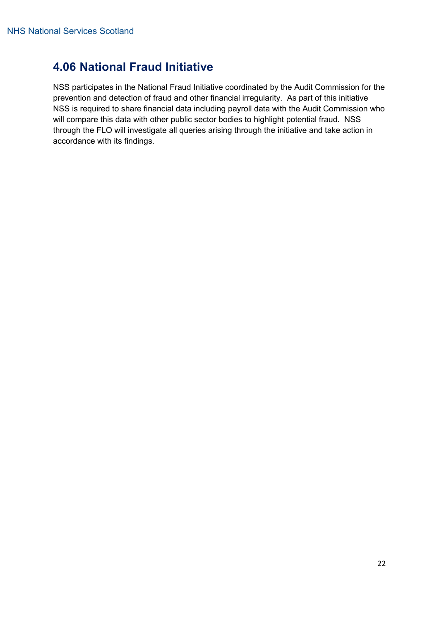# <span id="page-21-0"></span>**4.06 National Fraud Initiative**

NSS participates in the National Fraud Initiative coordinated by the Audit Commission for the prevention and detection of fraud and other financial irregularity. As part of this initiative NSS is required to share financial data including payroll data with the Audit Commission who will compare this data with other public sector bodies to highlight potential fraud. NSS through the FLO will investigate all queries arising through the initiative and take action in accordance with its findings.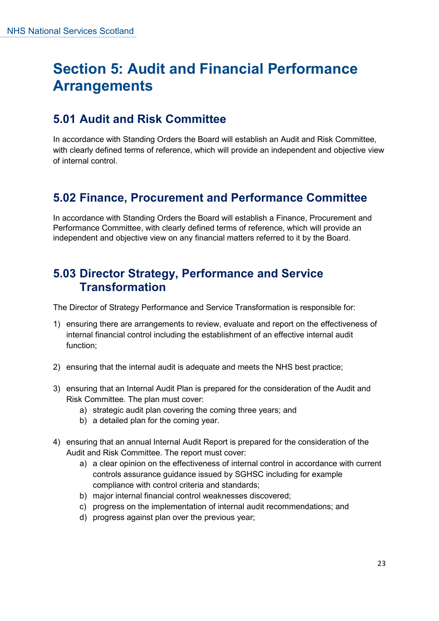# <span id="page-22-0"></span>**Section 5: Audit and Financial Performance Arrangements**

# <span id="page-22-1"></span>**5.01 Audit and Risk Committee**

In accordance with Standing Orders the Board will establish an Audit and Risk Committee, with clearly defined terms of reference, which will provide an independent and objective view of internal control.

# <span id="page-22-2"></span>**5.02 Finance, Procurement and Performance Committee**

In accordance with Standing Orders the Board will establish a Finance, Procurement and Performance Committee, with clearly defined terms of reference, which will provide an independent and objective view on any financial matters referred to it by the Board.

#### <span id="page-22-3"></span>**5.03 Director Strategy, Performance and Service Transformation**

The Director of Strategy Performance and Service Transformation is responsible for:

- 1) ensuring there are arrangements to review, evaluate and report on the effectiveness of internal financial control including the establishment of an effective internal audit function;
- 2) ensuring that the internal audit is adequate and meets the NHS best practice;
- 3) ensuring that an Internal Audit Plan is prepared for the consideration of the Audit and Risk Committee. The plan must cover:
	- a) strategic audit plan covering the coming three years; and
	- b) a detailed plan for the coming year.
- 4) ensuring that an annual Internal Audit Report is prepared for the consideration of the Audit and Risk Committee. The report must cover:
	- a) a clear opinion on the effectiveness of internal control in accordance with current controls assurance guidance issued by SGHSC including for example compliance with control criteria and standards;
	- b) major internal financial control weaknesses discovered;
	- c) progress on the implementation of internal audit recommendations; and
	- d) progress against plan over the previous year;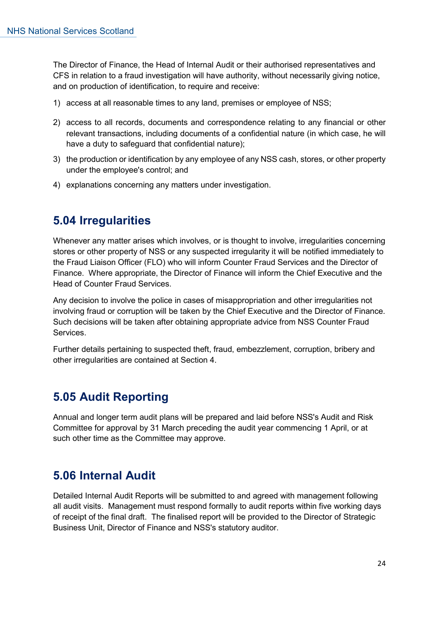The Director of Finance, the Head of Internal Audit or their authorised representatives and CFS in relation to a fraud investigation will have authority, without necessarily giving notice, and on production of identification, to require and receive:

- 1) access at all reasonable times to any land, premises or employee of NSS;
- 2) access to all records, documents and correspondence relating to any financial or other relevant transactions, including documents of a confidential nature (in which case, he will have a duty to safeguard that confidential nature);
- 3) the production or identification by any employee of any NSS cash, stores, or other property under the employee's control; and
- 4) explanations concerning any matters under investigation.

#### <span id="page-23-0"></span>**5.04 Irregularities**

Whenever any matter arises which involves, or is thought to involve, irregularities concerning stores or other property of NSS or any suspected irregularity it will be notified immediately to the Fraud Liaison Officer (FLO) who will inform Counter Fraud Services and the Director of Finance. Where appropriate, the Director of Finance will inform the Chief Executive and the Head of Counter Fraud Services.

Any decision to involve the police in cases of misappropriation and other irregularities not involving fraud or corruption will be taken by the Chief Executive and the Director of Finance. Such decisions will be taken after obtaining appropriate advice from NSS Counter Fraud Services.

Further details pertaining to suspected theft, fraud, embezzlement, corruption, bribery and other irregularities are contained at Section 4.

#### <span id="page-23-1"></span>**5.05 Audit Reporting**

Annual and longer term audit plans will be prepared and laid before NSS's Audit and Risk Committee for approval by 31 March preceding the audit year commencing 1 April, or at such other time as the Committee may approve.

#### <span id="page-23-2"></span>**5.06 Internal Audit**

Detailed Internal Audit Reports will be submitted to and agreed with management following all audit visits. Management must respond formally to audit reports within five working days of receipt of the final draft. The finalised report will be provided to the Director of Strategic Business Unit, Director of Finance and NSS's statutory auditor.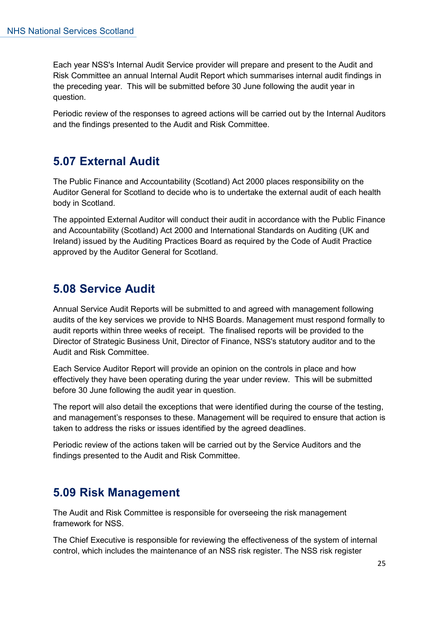Each year NSS's Internal Audit Service provider will prepare and present to the Audit and Risk Committee an annual Internal Audit Report which summarises internal audit findings in the preceding year. This will be submitted before 30 June following the audit year in question.

Periodic review of the responses to agreed actions will be carried out by the Internal Auditors and the findings presented to the Audit and Risk Committee.

# <span id="page-24-0"></span>**5.07 External Audit**

The Public Finance and Accountability (Scotland) Act 2000 places responsibility on the Auditor General for Scotland to decide who is to undertake the external audit of each health body in Scotland.

The appointed External Auditor will conduct their audit in accordance with the Public Finance and Accountability (Scotland) Act 2000 and International Standards on Auditing (UK and Ireland) issued by the Auditing Practices Board as required by the Code of Audit Practice approved by the Auditor General for Scotland.

#### <span id="page-24-1"></span>**5.08 Service Audit**

Annual Service Audit Reports will be submitted to and agreed with management following audits of the key services we provide to NHS Boards. Management must respond formally to audit reports within three weeks of receipt. The finalised reports will be provided to the Director of Strategic Business Unit, Director of Finance, NSS's statutory auditor and to the Audit and Risk Committee.

Each Service Auditor Report will provide an opinion on the controls in place and how effectively they have been operating during the year under review. This will be submitted before 30 June following the audit year in question.

The report will also detail the exceptions that were identified during the course of the testing, and management's responses to these. Management will be required to ensure that action is taken to address the risks or issues identified by the agreed deadlines.

Periodic review of the actions taken will be carried out by the Service Auditors and the findings presented to the Audit and Risk Committee.

#### <span id="page-24-2"></span>**5.09 Risk Management**

The Audit and Risk Committee is responsible for overseeing the risk management framework for NSS.

The Chief Executive is responsible for reviewing the effectiveness of the system of internal control, which includes the maintenance of an NSS risk register. The NSS risk register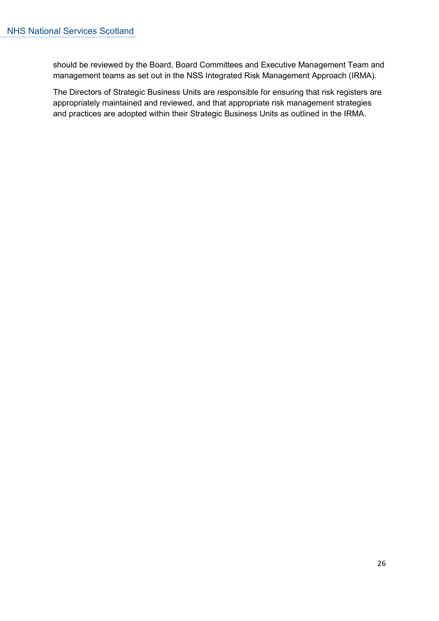should be reviewed by the Board, Board Committees and Executive Management Team and management teams as set out in the NSS Integrated Risk Management Approach (IRMA).

The Directors of Strategic Business Units are responsible for ensuring that risk registers are appropriately maintained and reviewed, and that appropriate risk management strategies and practices are adopted within their Strategic Business Units as outlined in the IRMA.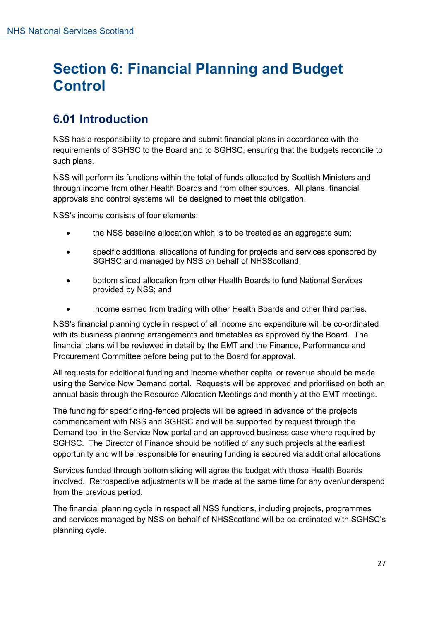# <span id="page-26-0"></span>**Section 6: Financial Planning and Budget Control**

# <span id="page-26-1"></span>**6.01 Introduction**

NSS has a responsibility to prepare and submit financial plans in accordance with the requirements of SGHSC to the Board and to SGHSC, ensuring that the budgets reconcile to such plans.

NSS will perform its functions within the total of funds allocated by Scottish Ministers and through income from other Health Boards and from other sources. All plans, financial approvals and control systems will be designed to meet this obligation.

NSS's income consists of four elements:

- the NSS baseline allocation which is to be treated as an aggregate sum;
- specific additional allocations of funding for projects and services sponsored by SGHSC and managed by NSS on behalf of NHSScotland;
- bottom sliced allocation from other Health Boards to fund National Services provided by NSS; and
- Income earned from trading with other Health Boards and other third parties.

NSS's financial planning cycle in respect of all income and expenditure will be co-ordinated with its business planning arrangements and timetables as approved by the Board. The financial plans will be reviewed in detail by the EMT and the Finance, Performance and Procurement Committee before being put to the Board for approval.

All requests for additional funding and income whether capital or revenue should be made using the Service Now Demand portal. Requests will be approved and prioritised on both an annual basis through the Resource Allocation Meetings and monthly at the EMT meetings.

The funding for specific ring-fenced projects will be agreed in advance of the projects commencement with NSS and SGHSC and will be supported by request through the Demand tool in the Service Now portal and an approved business case where required by SGHSC. The Director of Finance should be notified of any such projects at the earliest opportunity and will be responsible for ensuring funding is secured via additional allocations

Services funded through bottom slicing will agree the budget with those Health Boards involved. Retrospective adjustments will be made at the same time for any over/underspend from the previous period.

The financial planning cycle in respect all NSS functions, including projects, programmes and services managed by NSS on behalf of NHSScotland will be co-ordinated with SGHSC's planning cycle.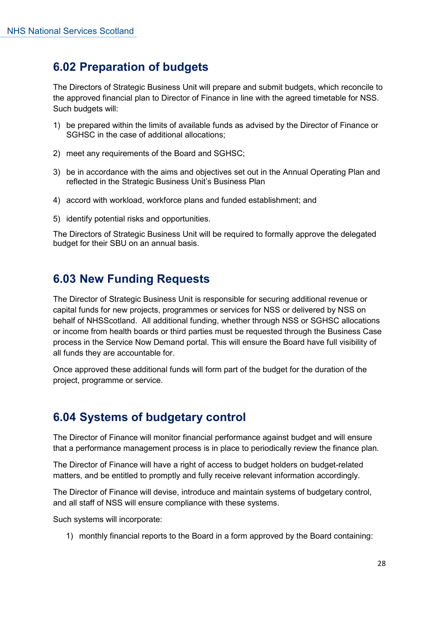# <span id="page-27-0"></span>**6.02 Preparation of budgets**

The Directors of Strategic Business Unit will prepare and submit budgets, which reconcile to the approved financial plan to Director of Finance in line with the agreed timetable for NSS. Such budgets will:

- 1) be prepared within the limits of available funds as advised by the Director of Finance or SGHSC in the case of additional allocations;
- 2) meet any requirements of the Board and SGHSC;
- 3) be in accordance with the aims and objectives set out in the Annual Operating Plan and reflected in the Strategic Business Unit's Business Plan
- 4) accord with workload, workforce plans and funded establishment; and
- 5) identify potential risks and opportunities.

The Directors of Strategic Business Unit will be required to formally approve the delegated budget for their SBU on an annual basis.

#### <span id="page-27-1"></span>**6.03 New Funding Requests**

The Director of Strategic Business Unit is responsible for securing additional revenue or capital funds for new projects, programmes or services for NSS or delivered by NSS on behalf of NHSScotland. All additional funding, whether through NSS or SGHSC allocations or income from health boards or third parties must be requested through the Business Case process in the Service Now Demand portal. This will ensure the Board have full visibility of all funds they are accountable for.

Once approved these additional funds will form part of the budget for the duration of the project, programme or service.

# <span id="page-27-2"></span>**6.04 Systems of budgetary control**

The Director of Finance will monitor financial performance against budget and will ensure that a performance management process is in place to periodically review the finance plan.

The Director of Finance will have a right of access to budget holders on budget-related matters, and be entitled to promptly and fully receive relevant information accordingly.

The Director of Finance will devise, introduce and maintain systems of budgetary control, and all staff of NSS will ensure compliance with these systems.

Such systems will incorporate:

1) monthly financial reports to the Board in a form approved by the Board containing: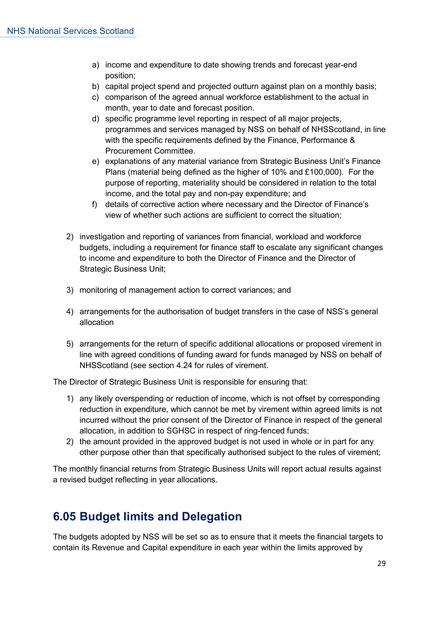- a) income and expenditure to date showing trends and forecast year-end position;
- b) capital project spend and projected outturn against plan on a monthly basis;
- c) comparison of the agreed annual workforce establishment to the actual in month, year to date and forecast position.
- d) specific programme level reporting in respect of all major projects, programmes and services managed by NSS on behalf of NHSScotland, in line with the specific requirements defined by the Finance, Performance & Procurement Committee.
- e) explanations of any material variance from Strategic Business Unit's Finance Plans (material being defined as the higher of 10% and £100,000). For the purpose of reporting, materiality should be considered in relation to the total income, and the total pay and non-pay expenditure; and
- f) details of corrective action where necessary and the Director of Finance's view of whether such actions are sufficient to correct the situation;
- 2) investigation and reporting of variances from financial, workload and workforce budgets, including a requirement for finance staff to escalate any significant changes to income and expenditure to both the Director of Finance and the Director of Strategic Business Unit;
- 3) monitoring of management action to correct variances; and
- 4) arrangements for the authorisation of budget transfers in the case of NSS's general allocation
- 5) arrangements for the return of specific additional allocations or proposed virement in line with agreed conditions of funding award for funds managed by NSS on behalf of NHSScotland (see section 4.24 for rules of virement.

The Director of Strategic Business Unit is responsible for ensuring that:

- 1) any likely overspending or reduction of income, which is not offset by corresponding reduction in expenditure, which cannot be met by virement within agreed limits is not incurred without the prior consent of the Director of Finance in respect of the general allocation, in addition to SGHSC in respect of ring-fenced funds;
- 2) the amount provided in the approved budget is not used in whole or in part for any other purpose other than that specifically authorised subject to the rules of virement;

The monthly financial returns from Strategic Business Units will report actual results against a revised budget reflecting in year allocations.

# <span id="page-28-0"></span>**6.05 Budget limits and Delegation**

The budgets adopted by NSS will be set so as to ensure that it meets the financial targets to contain its Revenue and Capital expenditure in each year within the limits approved by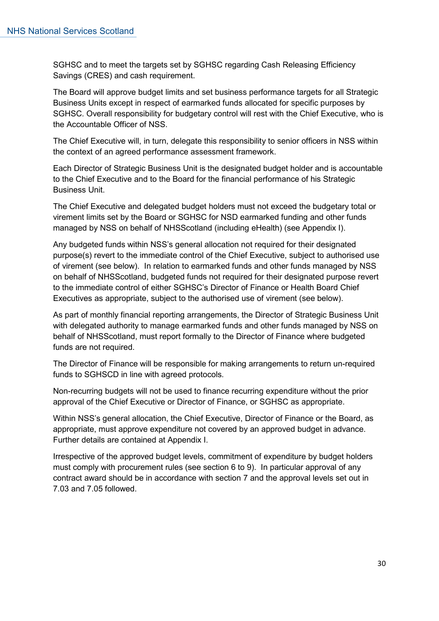SGHSC and to meet the targets set by SGHSC regarding Cash Releasing Efficiency Savings (CRES) and cash requirement.

The Board will approve budget limits and set business performance targets for all Strategic Business Units except in respect of earmarked funds allocated for specific purposes by SGHSC. Overall responsibility for budgetary control will rest with the Chief Executive, who is the Accountable Officer of NSS.

The Chief Executive will, in turn, delegate this responsibility to senior officers in NSS within the context of an agreed performance assessment framework.

Each Director of Strategic Business Unit is the designated budget holder and is accountable to the Chief Executive and to the Board for the financial performance of his Strategic Business Unit.

The Chief Executive and delegated budget holders must not exceed the budgetary total or virement limits set by the Board or SGHSC for NSD earmarked funding and other funds managed by NSS on behalf of NHSScotland (including eHealth) (see Appendix I).

Any budgeted funds within NSS's general allocation not required for their designated purpose(s) revert to the immediate control of the Chief Executive, subject to authorised use of virement (see below). In relation to earmarked funds and other funds managed by NSS on behalf of NHSScotland, budgeted funds not required for their designated purpose revert to the immediate control of either SGHSC's Director of Finance or Health Board Chief Executives as appropriate, subject to the authorised use of virement (see below).

As part of monthly financial reporting arrangements, the Director of Strategic Business Unit with delegated authority to manage earmarked funds and other funds managed by NSS on behalf of NHSScotland, must report formally to the Director of Finance where budgeted funds are not required.

The Director of Finance will be responsible for making arrangements to return un-required funds to SGHSCD in line with agreed protocols.

Non-recurring budgets will not be used to finance recurring expenditure without the prior approval of the Chief Executive or Director of Finance, or SGHSC as appropriate.

Within NSS's general allocation, the Chief Executive, Director of Finance or the Board, as appropriate, must approve expenditure not covered by an approved budget in advance. Further details are contained at Appendix I.

Irrespective of the approved budget levels, commitment of expenditure by budget holders must comply with procurement rules (see section 6 to 9). In particular approval of any contract award should be in accordance with section 7 and the approval levels set out in 7.03 and 7.05 followed.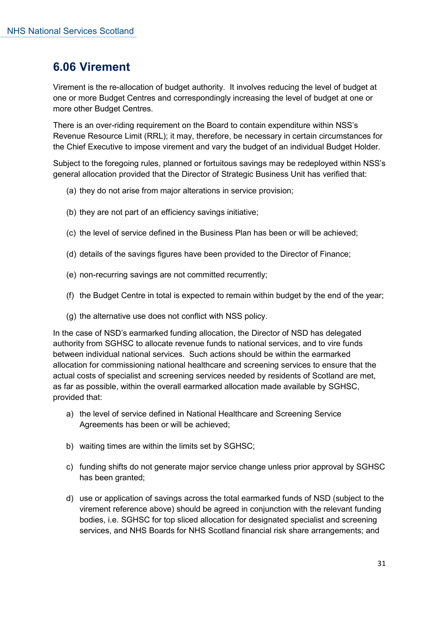# <span id="page-30-0"></span>**6.06 Virement**

Virement is the re-allocation of budget authority. It involves reducing the level of budget at one or more Budget Centres and correspondingly increasing the level of budget at one or more other Budget Centres.

There is an over-riding requirement on the Board to contain expenditure within NSS's Revenue Resource Limit (RRL); it may, therefore, be necessary in certain circumstances for the Chief Executive to impose virement and vary the budget of an individual Budget Holder.

Subject to the foregoing rules, planned or fortuitous savings may be redeployed within NSS's general allocation provided that the Director of Strategic Business Unit has verified that:

- (a) they do not arise from major alterations in service provision;
- (b) they are not part of an efficiency savings initiative;
- (c) the level of service defined in the Business Plan has been or will be achieved;
- (d) details of the savings figures have been provided to the Director of Finance;
- (e) non-recurring savings are not committed recurrently;
- (f) the Budget Centre in total is expected to remain within budget by the end of the year;
- (g) the alternative use does not conflict with NSS policy.

In the case of NSD's earmarked funding allocation, the Director of NSD has delegated authority from SGHSC to allocate revenue funds to national services, and to vire funds between individual national services. Such actions should be within the earmarked allocation for commissioning national healthcare and screening services to ensure that the actual costs of specialist and screening services needed by residents of Scotland are met, as far as possible, within the overall earmarked allocation made available by SGHSC, provided that:

- a) the level of service defined in National Healthcare and Screening Service Agreements has been or will be achieved;
- b) waiting times are within the limits set by SGHSC;
- c) funding shifts do not generate major service change unless prior approval by SGHSC has been granted;
- d) use or application of savings across the total earmarked funds of NSD (subject to the virement reference above) should be agreed in conjunction with the relevant funding bodies, i.e. SGHSC for top sliced allocation for designated specialist and screening services, and NHS Boards for NHS Scotland financial risk share arrangements; and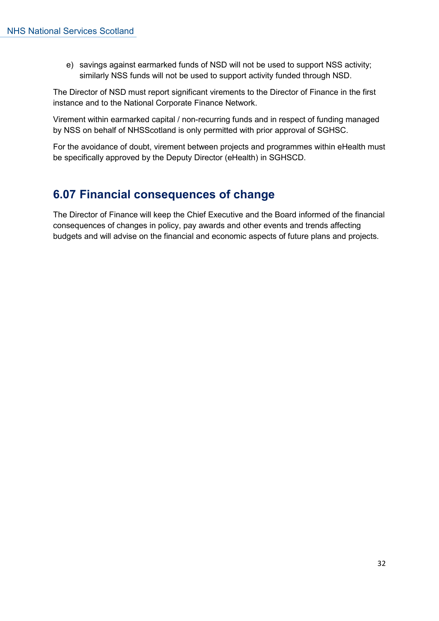e) savings against earmarked funds of NSD will not be used to support NSS activity; similarly NSS funds will not be used to support activity funded through NSD.

The Director of NSD must report significant virements to the Director of Finance in the first instance and to the National Corporate Finance Network.

Virement within earmarked capital / non-recurring funds and in respect of funding managed by NSS on behalf of NHSScotland is only permitted with prior approval of SGHSC.

For the avoidance of doubt, virement between projects and programmes within eHealth must be specifically approved by the Deputy Director (eHealth) in SGHSCD.

# <span id="page-31-0"></span>**6.07 Financial consequences of change**

The Director of Finance will keep the Chief Executive and the Board informed of the financial consequences of changes in policy, pay awards and other events and trends affecting budgets and will advise on the financial and economic aspects of future plans and projects.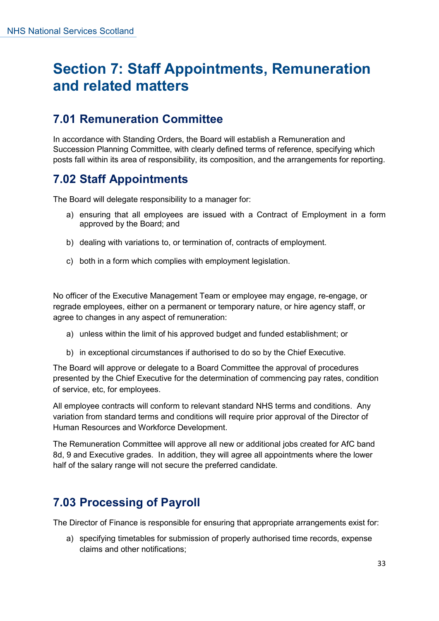# <span id="page-32-0"></span>**Section 7: Staff Appointments, Remuneration and related matters**

# <span id="page-32-1"></span>**7.01 Remuneration Committee**

In accordance with Standing Orders, the Board will establish a Remuneration and Succession Planning Committee, with clearly defined terms of reference, specifying which posts fall within its area of responsibility, its composition, and the arrangements for reporting.

# <span id="page-32-2"></span>**7.02 Staff Appointments**

The Board will delegate responsibility to a manager for:

- a) ensuring that all employees are issued with a Contract of Employment in a form approved by the Board; and
- b) dealing with variations to, or termination of, contracts of employment.
- c) both in a form which complies with employment legislation.

No officer of the Executive Management Team or employee may engage, re-engage, or regrade employees, either on a permanent or temporary nature, or hire agency staff, or agree to changes in any aspect of remuneration:

- a) unless within the limit of his approved budget and funded establishment; or
- b) in exceptional circumstances if authorised to do so by the Chief Executive.

The Board will approve or delegate to a Board Committee the approval of procedures presented by the Chief Executive for the determination of commencing pay rates, condition of service, etc, for employees.

All employee contracts will conform to relevant standard NHS terms and conditions. Any variation from standard terms and conditions will require prior approval of the Director of Human Resources and Workforce Development.

The Remuneration Committee will approve all new or additional jobs created for AfC band 8d, 9 and Executive grades. In addition, they will agree all appointments where the lower half of the salary range will not secure the preferred candidate.

# <span id="page-32-3"></span>**7.03 Processing of Payroll**

The Director of Finance is responsible for ensuring that appropriate arrangements exist for:

a) specifying timetables for submission of properly authorised time records, expense claims and other notifications;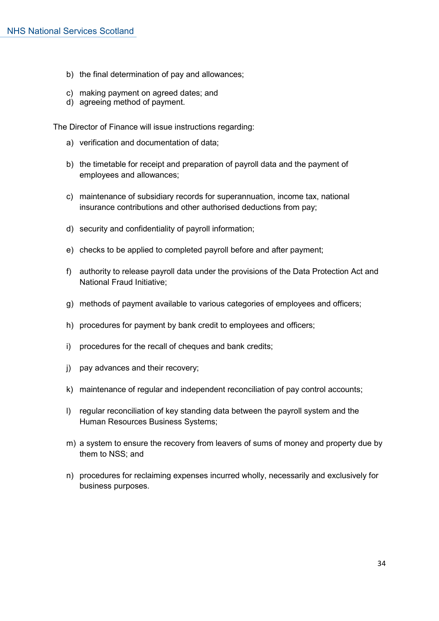- b) the final determination of pay and allowances;
- c) making payment on agreed dates; and
- d) agreeing method of payment.

The Director of Finance will issue instructions regarding:

- a) verification and documentation of data;
- b) the timetable for receipt and preparation of payroll data and the payment of employees and allowances;
- c) maintenance of subsidiary records for superannuation, income tax, national insurance contributions and other authorised deductions from pay;
- d) security and confidentiality of payroll information;
- e) checks to be applied to completed payroll before and after payment;
- f) authority to release payroll data under the provisions of the Data Protection Act and National Fraud Initiative;
- g) methods of payment available to various categories of employees and officers;
- h) procedures for payment by bank credit to employees and officers;
- i) procedures for the recall of cheques and bank credits;
- j) pay advances and their recovery;
- k) maintenance of regular and independent reconciliation of pay control accounts;
- l) regular reconciliation of key standing data between the payroll system and the Human Resources Business Systems;
- m) a system to ensure the recovery from leavers of sums of money and property due by them to NSS; and
- n) procedures for reclaiming expenses incurred wholly, necessarily and exclusively for business purposes.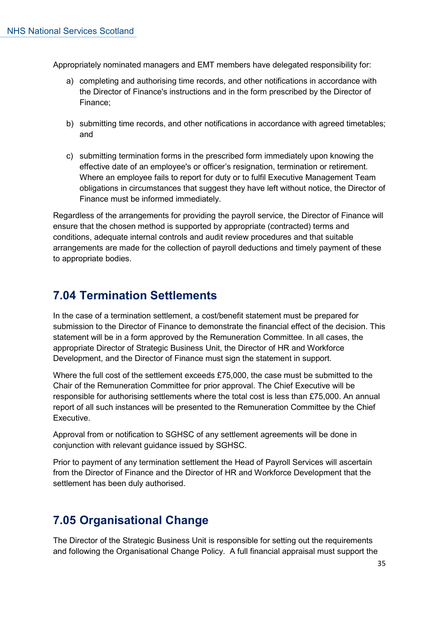Appropriately nominated managers and EMT members have delegated responsibility for:

- a) completing and authorising time records, and other notifications in accordance with the Director of Finance's instructions and in the form prescribed by the Director of Finance;
- b) submitting time records, and other notifications in accordance with agreed timetables; and
- c) submitting termination forms in the prescribed form immediately upon knowing the effective date of an employee's or officer's resignation, termination or retirement. Where an employee fails to report for duty or to fulfil Executive Management Team obligations in circumstances that suggest they have left without notice, the Director of Finance must be informed immediately.

Regardless of the arrangements for providing the payroll service, the Director of Finance will ensure that the chosen method is supported by appropriate (contracted) terms and conditions, adequate internal controls and audit review procedures and that suitable arrangements are made for the collection of payroll deductions and timely payment of these to appropriate bodies.

# <span id="page-34-0"></span>**7.04 Termination Settlements**

In the case of a termination settlement, a cost/benefit statement must be prepared for submission to the Director of Finance to demonstrate the financial effect of the decision. This statement will be in a form approved by the Remuneration Committee. In all cases, the appropriate Director of Strategic Business Unit, the Director of HR and Workforce Development, and the Director of Finance must sign the statement in support.

Where the full cost of the settlement exceeds £75,000, the case must be submitted to the Chair of the Remuneration Committee for prior approval. The Chief Executive will be responsible for authorising settlements where the total cost is less than £75,000. An annual report of all such instances will be presented to the Remuneration Committee by the Chief Executive.

Approval from or notification to SGHSC of any settlement agreements will be done in conjunction with relevant guidance issued by SGHSC.

Prior to payment of any termination settlement the Head of Payroll Services will ascertain from the Director of Finance and the Director of HR and Workforce Development that the settlement has been duly authorised.

# <span id="page-34-1"></span>**7.05 Organisational Change**

The Director of the Strategic Business Unit is responsible for setting out the requirements and following the Organisational Change Policy. A full financial appraisal must support the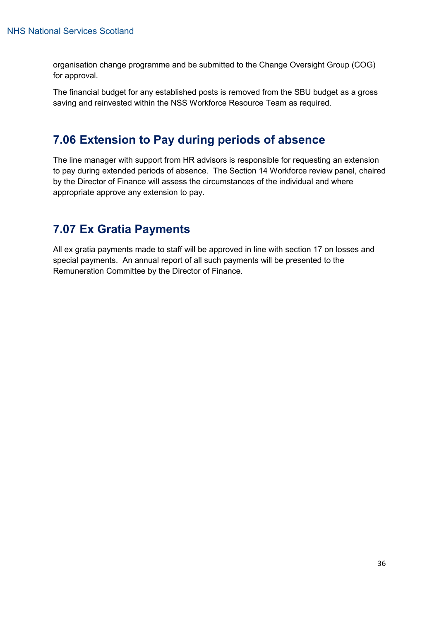organisation change programme and be submitted to the Change Oversight Group (COG) for approval.

The financial budget for any established posts is removed from the SBU budget as a gross saving and reinvested within the NSS Workforce Resource Team as required.

# <span id="page-35-0"></span>**7.06 Extension to Pay during periods of absence**

The line manager with support from HR advisors is responsible for requesting an extension to pay during extended periods of absence. The Section 14 Workforce review panel, chaired by the Director of Finance will assess the circumstances of the individual and where appropriate approve any extension to pay.

# <span id="page-35-1"></span>**7.07 Ex Gratia Payments**

All ex gratia payments made to staff will be approved in line with section 17 on losses and special payments. An annual report of all such payments will be presented to the Remuneration Committee by the Director of Finance.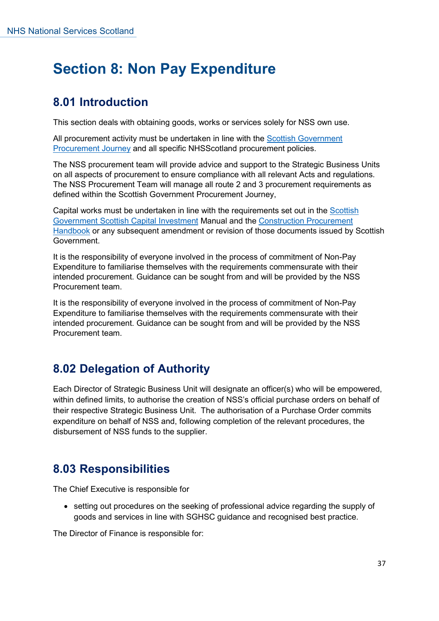### **Section 8: Non Pay Expenditure**

### **8.01 Introduction**

This section deals with obtaining goods, works or services solely for NSS own use.

All procurement activity must be undertaken in line with the [Scottish Government](https://www.procurementjourney.scot/)  [Procurement Journey](https://www.procurementjourney.scot/) and all specific NHSScotland procurement policies.

The NSS procurement team will provide advice and support to the Strategic Business Units on all aspects of procurement to ensure compliance with all relevant Acts and regulations. The NSS Procurement Team will manage all route 2 and 3 procurement requirements as defined within the Scottish Government Procurement Journey,

Capital works must be undertaken in line with the requirements set out in the [Scottish](https://www.pcpd.scot.nhs.uk/Capital/scimpilot.htm)  [Government Scottish Capital Investment](https://www.pcpd.scot.nhs.uk/Capital/scimpilot.htm) Manual and the [Construction Procurement](https://www.gov.scot/publications/construction-procurement-handbook/)  [Handbook](https://www.gov.scot/publications/construction-procurement-handbook/) or any subsequent amendment or revision of those documents issued by Scottish Government.

It is the responsibility of everyone involved in the process of commitment of Non-Pay Expenditure to familiarise themselves with the requirements commensurate with their intended procurement. Guidance can be sought from and will be provided by the NSS Procurement team.

It is the responsibility of everyone involved in the process of commitment of Non-Pay Expenditure to familiarise themselves with the requirements commensurate with their intended procurement. Guidance can be sought from and will be provided by the NSS Procurement team.

### **8.02 Delegation of Authority**

Each Director of Strategic Business Unit will designate an officer(s) who will be empowered, within defined limits, to authorise the creation of NSS's official purchase orders on behalf of their respective Strategic Business Unit. The authorisation of a Purchase Order commits expenditure on behalf of NSS and, following completion of the relevant procedures, the disbursement of NSS funds to the supplier.

### **8.03 Responsibilities**

The Chief Executive is responsible for

• setting out procedures on the seeking of professional advice regarding the supply of goods and services in line with SGHSC guidance and recognised best practice.

The Director of Finance is responsible for: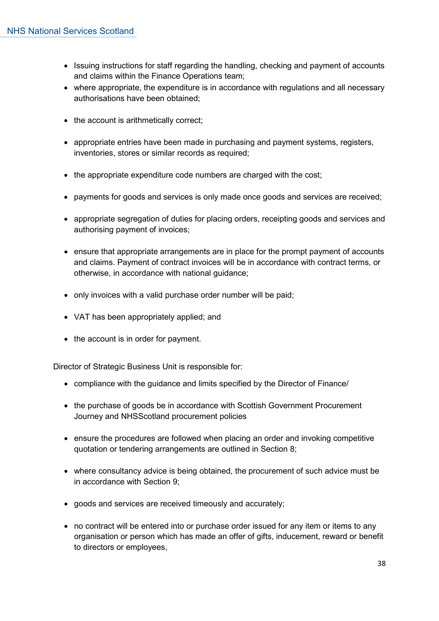- Issuing instructions for staff regarding the handling, checking and payment of accounts and claims within the Finance Operations team;
- where appropriate, the expenditure is in accordance with regulations and all necessary authorisations have been obtained;
- the account is arithmetically correct:
- appropriate entries have been made in purchasing and payment systems, registers, inventories, stores or similar records as required;
- the appropriate expenditure code numbers are charged with the cost;
- payments for goods and services is only made once goods and services are received;
- appropriate segregation of duties for placing orders, receipting goods and services and authorising payment of invoices;
- ensure that appropriate arrangements are in place for the prompt payment of accounts and claims. Payment of contract invoices will be in accordance with contract terms, or otherwise, in accordance with national guidance;
- only invoices with a valid purchase order number will be paid;
- VAT has been appropriately applied; and
- the account is in order for payment.

Director of Strategic Business Unit is responsible for:

- compliance with the guidance and limits specified by the Director of Finance/
- the purchase of goods be in accordance with Scottish Government Procurement Journey and NHSScotland procurement policies
- ensure the procedures are followed when placing an order and invoking competitive quotation or tendering arrangements are outlined in Section 8;
- where consultancy advice is being obtained, the procurement of such advice must be in accordance with Section 9;
- goods and services are received timeously and accurately;
- no contract will be entered into or purchase order issued for any item or items to any organisation or person which has made an offer of gifts, inducement, reward or benefit to directors or employees,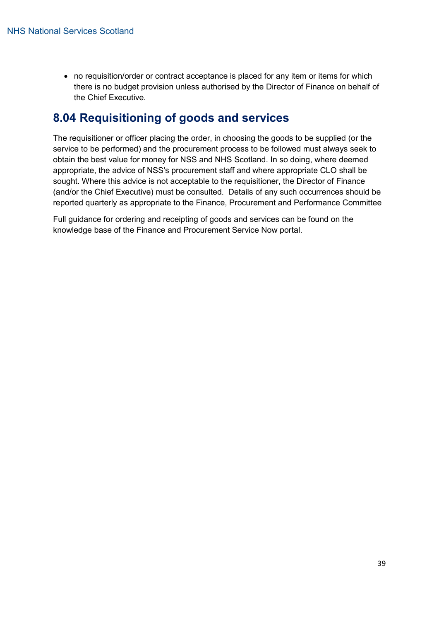• no requisition/order or contract acceptance is placed for any item or items for which there is no budget provision unless authorised by the Director of Finance on behalf of the Chief Executive.

### **8.04 Requisitioning of goods and services**

The requisitioner or officer placing the order, in choosing the goods to be supplied (or the service to be performed) and the procurement process to be followed must always seek to obtain the best value for money for NSS and NHS Scotland. In so doing, where deemed appropriate, the advice of NSS's procurement staff and where appropriate CLO shall be sought. Where this advice is not acceptable to the requisitioner, the Director of Finance (and/or the Chief Executive) must be consulted. Details of any such occurrences should be reported quarterly as appropriate to the Finance, Procurement and Performance Committee

Full guidance for ordering and receipting of goods and services can be found on the knowledge base of the Finance and Procurement Service Now portal.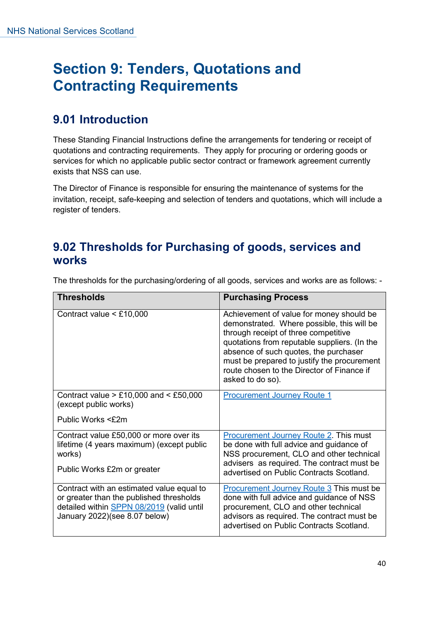### **Section 9: Tenders, Quotations and Contracting Requirements**

### **9.01 Introduction**

These Standing Financial Instructions define the arrangements for tendering or receipt of quotations and contracting requirements. They apply for procuring or ordering goods or services for which no applicable public sector contract or framework agreement currently exists that NSS can use.

The Director of Finance is responsible for ensuring the maintenance of systems for the invitation, receipt, safe-keeping and selection of tenders and quotations, which will include a register of tenders.

### **9.02 Thresholds for Purchasing of goods, services and works**

| <b>Thresholds</b>                                                                                                                                                   | <b>Purchasing Process</b>                                                                                                                                                                                                                                                                                                                |
|---------------------------------------------------------------------------------------------------------------------------------------------------------------------|------------------------------------------------------------------------------------------------------------------------------------------------------------------------------------------------------------------------------------------------------------------------------------------------------------------------------------------|
| Contract value $\leq$ £10,000                                                                                                                                       | Achievement of value for money should be<br>demonstrated. Where possible, this will be<br>through receipt of three competitive<br>quotations from reputable suppliers. (In the<br>absence of such quotes, the purchaser<br>must be prepared to justify the procurement<br>route chosen to the Director of Finance if<br>asked to do so). |
| Contract value $> £10,000$ and $< £50,000$<br>(except public works)                                                                                                 | <b>Procurement Journey Route 1</b>                                                                                                                                                                                                                                                                                                       |
| Public Works <£2m                                                                                                                                                   |                                                                                                                                                                                                                                                                                                                                          |
| Contract value £50,000 or more over its<br>lifetime (4 years maximum) (except public<br>works)<br>Public Works £2m or greater                                       | <b>Procurement Journey Route 2. This must</b><br>be done with full advice and guidance of<br>NSS procurement, CLO and other technical<br>advisers as required. The contract must be<br>advertised on Public Contracts Scotland.                                                                                                          |
| Contract with an estimated value equal to<br>or greater than the published thresholds<br>detailed within SPPN 08/2019 (valid until<br>January 2022)(see 8.07 below) | Procurement Journey Route 3 This must be<br>done with full advice and guidance of NSS<br>procurement, CLO and other technical<br>advisors as required. The contract must be<br>advertised on Public Contracts Scotland.                                                                                                                  |

The thresholds for the purchasing/ordering of all goods, services and works are as follows: -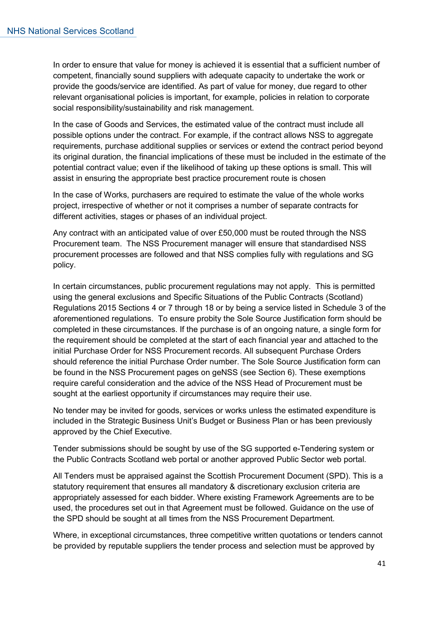In order to ensure that value for money is achieved it is essential that a sufficient number of competent, financially sound suppliers with adequate capacity to undertake the work or provide the goods/service are identified. As part of value for money, due regard to other relevant organisational policies is important, for example, policies in relation to corporate social responsibility/sustainability and risk management.

In the case of Goods and Services, the estimated value of the contract must include all possible options under the contract. For example, if the contract allows NSS to aggregate requirements, purchase additional supplies or services or extend the contract period beyond its original duration, the financial implications of these must be included in the estimate of the potential contract value; even if the likelihood of taking up these options is small. This will assist in ensuring the appropriate best practice procurement route is chosen

In the case of Works, purchasers are required to estimate the value of the whole works project, irrespective of whether or not it comprises a number of separate contracts for different activities, stages or phases of an individual project.

Any contract with an anticipated value of over £50,000 must be routed through the NSS Procurement team. The NSS Procurement manager will ensure that standardised NSS procurement processes are followed and that NSS complies fully with regulations and SG policy.

In certain circumstances, public procurement regulations may not apply. This is permitted using the general exclusions and Specific Situations of the Public Contracts (Scotland) Regulations 2015 Sections 4 or 7 through 18 or by being a service listed in Schedule 3 of the aforementioned regulations. To ensure probity the Sole Source Justification form should be completed in these circumstances. If the purchase is of an ongoing nature, a single form for the requirement should be completed at the start of each financial year and attached to the initial Purchase Order for NSS Procurement records. All subsequent Purchase Orders should reference the initial Purchase Order number. The Sole Source Justification form can be found in the NSS Procurement pages on geNSS (see Section 6). These exemptions require careful consideration and the advice of the NSS Head of Procurement must be sought at the earliest opportunity if circumstances may require their use.

No tender may be invited for goods, services or works unless the estimated expenditure is included in the Strategic Business Unit's Budget or Business Plan or has been previously approved by the Chief Executive.

Tender submissions should be sought by use of the SG supported e-Tendering system or the Public Contracts Scotland web portal or another approved Public Sector web portal.

All Tenders must be appraised against the Scottish Procurement Document (SPD). This is a statutory requirement that ensures all mandatory & discretionary exclusion criteria are appropriately assessed for each bidder. Where existing Framework Agreements are to be used, the procedures set out in that Agreement must be followed. Guidance on the use of the SPD should be sought at all times from the NSS Procurement Department.

Where, in exceptional circumstances, three competitive written quotations or tenders cannot be provided by reputable suppliers the tender process and selection must be approved by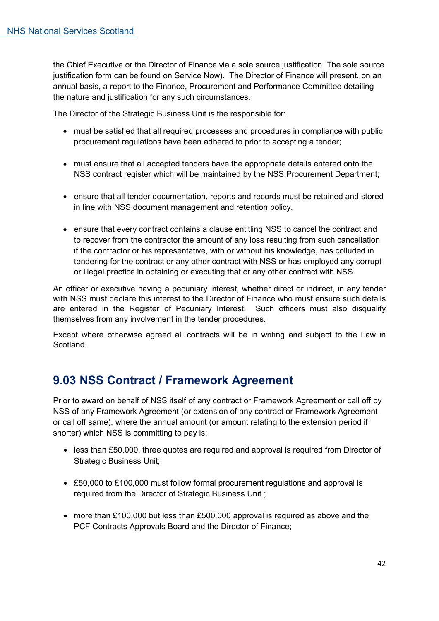the Chief Executive or the Director of Finance via a sole source justification. The sole source justification form can be found on Service Now). The Director of Finance will present, on an annual basis, a report to the Finance, Procurement and Performance Committee detailing the nature and justification for any such circumstances.

The Director of the Strategic Business Unit is the responsible for:

- must be satisfied that all required processes and procedures in compliance with public procurement regulations have been adhered to prior to accepting a tender;
- must ensure that all accepted tenders have the appropriate details entered onto the NSS contract register which will be maintained by the NSS Procurement Department;
- ensure that all tender documentation, reports and records must be retained and stored in line with NSS document management and retention policy.
- ensure that every contract contains a clause entitling NSS to cancel the contract and to recover from the contractor the amount of any loss resulting from such cancellation if the contractor or his representative, with or without his knowledge, has colluded in tendering for the contract or any other contract with NSS or has employed any corrupt or illegal practice in obtaining or executing that or any other contract with NSS.

An officer or executive having a pecuniary interest, whether direct or indirect, in any tender with NSS must declare this interest to the Director of Finance who must ensure such details are entered in the Register of Pecuniary Interest. Such officers must also disqualify themselves from any involvement in the tender procedures.

Except where otherwise agreed all contracts will be in writing and subject to the Law in Scotland.

### **9.03 NSS Contract / Framework Agreement**

Prior to award on behalf of NSS itself of any contract or Framework Agreement or call off by NSS of any Framework Agreement (or extension of any contract or Framework Agreement or call off same), where the annual amount (or amount relating to the extension period if shorter) which NSS is committing to pay is:

- less than £50,000, three quotes are required and approval is required from Director of Strategic Business Unit;
- £50,000 to £100,000 must follow formal procurement regulations and approval is required from the Director of Strategic Business Unit.;
- more than £100,000 but less than £500,000 approval is required as above and the PCF Contracts Approvals Board and the Director of Finance;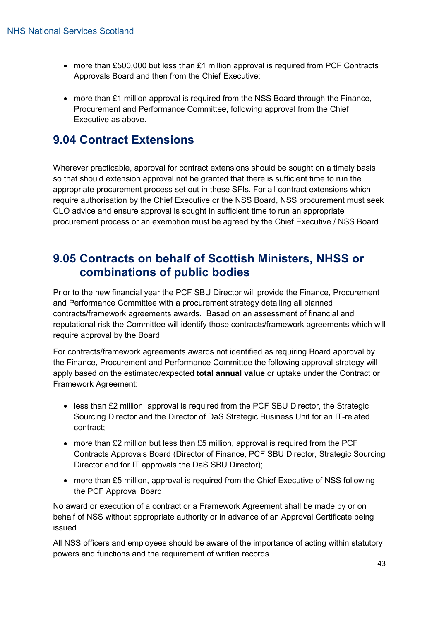- more than £500,000 but less than £1 million approval is required from PCF Contracts Approvals Board and then from the Chief Executive;
- more than £1 million approval is required from the NSS Board through the Finance, Procurement and Performance Committee, following approval from the Chief Executive as above.

### **9.04 Contract Extensions**

Wherever practicable, approval for contract extensions should be sought on a timely basis so that should extension approval not be granted that there is sufficient time to run the appropriate procurement process set out in these SFIs. For all contract extensions which require authorisation by the Chief Executive or the NSS Board, NSS procurement must seek CLO advice and ensure approval is sought in sufficient time to run an appropriate procurement process or an exemption must be agreed by the Chief Executive / NSS Board.

### **9.05 Contracts on behalf of Scottish Ministers, NHSS or combinations of public bodies**

Prior to the new financial year the PCF SBU Director will provide the Finance, Procurement and Performance Committee with a procurement strategy detailing all planned contracts/framework agreements awards. Based on an assessment of financial and reputational risk the Committee will identify those contracts/framework agreements which will require approval by the Board.

For contracts/framework agreements awards not identified as requiring Board approval by the Finance, Procurement and Performance Committee the following approval strategy will apply based on the estimated/expected **total annual value** or uptake under the Contract or Framework Agreement:

- less than £2 million, approval is required from the PCF SBU Director, the Strategic Sourcing Director and the Director of DaS Strategic Business Unit for an IT-related contract;
- more than £2 million but less than £5 million, approval is required from the PCF Contracts Approvals Board (Director of Finance, PCF SBU Director, Strategic Sourcing Director and for IT approvals the DaS SBU Director);
- more than £5 million, approval is required from the Chief Executive of NSS following the PCF Approval Board;

No award or execution of a contract or a Framework Agreement shall be made by or on behalf of NSS without appropriate authority or in advance of an Approval Certificate being issued.

All NSS officers and employees should be aware of the importance of acting within statutory powers and functions and the requirement of written records.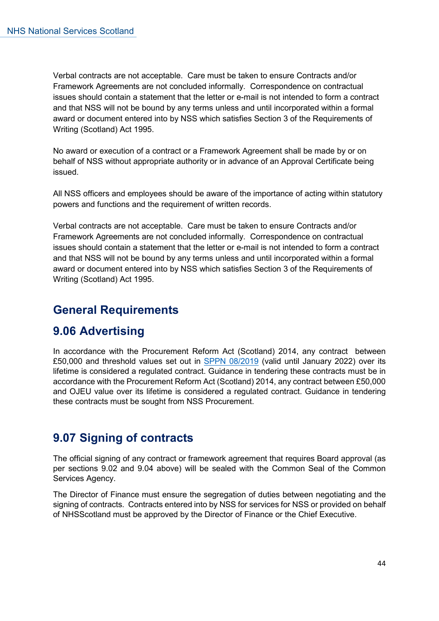Verbal contracts are not acceptable. Care must be taken to ensure Contracts and/or Framework Agreements are not concluded informally. Correspondence on contractual issues should contain a statement that the letter or e-mail is not intended to form a contract and that NSS will not be bound by any terms unless and until incorporated within a formal award or document entered into by NSS which satisfies Section 3 of the Requirements of Writing (Scotland) Act 1995.

No award or execution of a contract or a Framework Agreement shall be made by or on behalf of NSS without appropriate authority or in advance of an Approval Certificate being issued.

All NSS officers and employees should be aware of the importance of acting within statutory powers and functions and the requirement of written records.

Verbal contracts are not acceptable. Care must be taken to ensure Contracts and/or Framework Agreements are not concluded informally. Correspondence on contractual issues should contain a statement that the letter or e-mail is not intended to form a contract and that NSS will not be bound by any terms unless and until incorporated within a formal award or document entered into by NSS which satisfies Section 3 of the Requirements of Writing (Scotland) Act 1995.

### **General Requirements**

### **9.06 Advertising**

In accordance with the Procurement Reform Act (Scotland) 2014, any contract between £50,000 and threshold values set out in [SPPN 08/2019](https://www.gov.scot/publications/new-eu-procurement-thresholds-from-1-january-2020/) (valid until January 2022) over its lifetime is considered a regulated contract. Guidance in tendering these contracts must be in accordance with the Procurement Reform Act (Scotland) 2014, any contract between £50,000 and OJEU value over its lifetime is considered a regulated contract. Guidance in tendering these contracts must be sought from NSS Procurement.

### **9.07 Signing of contracts**

The official signing of any contract or framework agreement that requires Board approval (as per sections 9.02 and 9.04 above) will be sealed with the Common Seal of the Common Services Agency.

The Director of Finance must ensure the segregation of duties between negotiating and the signing of contracts. Contracts entered into by NSS for services for NSS or provided on behalf of NHSScotland must be approved by the Director of Finance or the Chief Executive.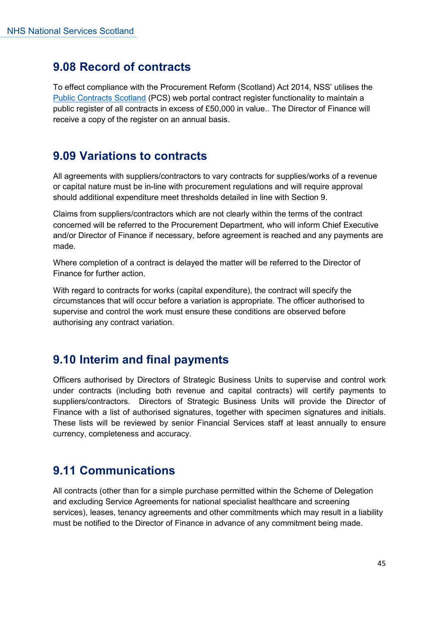### **9.08 Record of contracts**

To effect compliance with the Procurement Reform (Scotland) Act 2014, NSS' utilises the [Public Contracts Scotland](http://www.publiccontractsscotland.gov.uk/) (PCS) web portal contract register functionality to maintain a public register of all contracts in excess of £50,000 in value.. The Director of Finance will receive a copy of the register on an annual basis.

### **9.09 Variations to contracts**

All agreements with suppliers/contractors to vary contracts for supplies/works of a revenue or capital nature must be in-line with procurement regulations and will require approval should additional expenditure meet thresholds detailed in line with Section 9.

Claims from suppliers/contractors which are not clearly within the terms of the contract concerned will be referred to the Procurement Department, who will inform Chief Executive and/or Director of Finance if necessary, before agreement is reached and any payments are made.

Where completion of a contract is delayed the matter will be referred to the Director of Finance for further action.

With regard to contracts for works (capital expenditure), the contract will specify the circumstances that will occur before a variation is appropriate. The officer authorised to supervise and control the work must ensure these conditions are observed before authorising any contract variation.

### **9.10 Interim and final payments**

Officers authorised by Directors of Strategic Business Units to supervise and control work under contracts (including both revenue and capital contracts) will certify payments to suppliers/contractors. Directors of Strategic Business Units will provide the Director of Finance with a list of authorised signatures, together with specimen signatures and initials. These lists will be reviewed by senior Financial Services staff at least annually to ensure currency, completeness and accuracy.

### **9.11 Communications**

All contracts (other than for a simple purchase permitted within the Scheme of Delegation and excluding Service Agreements for national specialist healthcare and screening services), leases, tenancy agreements and other commitments which may result in a liability must be notified to the Director of Finance in advance of any commitment being made.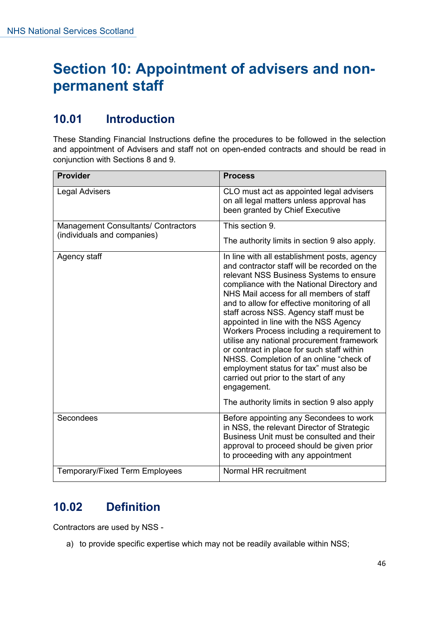### **Section 10: Appointment of advisers and nonpermanent staff**

### **10.01 Introduction**

These Standing Financial Instructions define the procedures to be followed in the selection and appointment of Advisers and staff not on open-ended contracts and should be read in conjunction with Sections 8 and 9.

| Provider                                                                  | <b>Process</b>                                                                                                                                                                                                                                                                                                                                                                                                                                                                                                                                                                                                                                               |
|---------------------------------------------------------------------------|--------------------------------------------------------------------------------------------------------------------------------------------------------------------------------------------------------------------------------------------------------------------------------------------------------------------------------------------------------------------------------------------------------------------------------------------------------------------------------------------------------------------------------------------------------------------------------------------------------------------------------------------------------------|
| <b>Legal Advisers</b>                                                     | CLO must act as appointed legal advisers<br>on all legal matters unless approval has<br>been granted by Chief Executive                                                                                                                                                                                                                                                                                                                                                                                                                                                                                                                                      |
| <b>Management Consultants/ Contractors</b><br>(individuals and companies) | This section 9.                                                                                                                                                                                                                                                                                                                                                                                                                                                                                                                                                                                                                                              |
|                                                                           | The authority limits in section 9 also apply.                                                                                                                                                                                                                                                                                                                                                                                                                                                                                                                                                                                                                |
| Agency staff                                                              | In line with all establishment posts, agency<br>and contractor staff will be recorded on the<br>relevant NSS Business Systems to ensure<br>compliance with the National Directory and<br>NHS Mail access for all members of staff<br>and to allow for effective monitoring of all<br>staff across NSS. Agency staff must be<br>appointed in line with the NSS Agency<br>Workers Process including a requirement to<br>utilise any national procurement framework<br>or contract in place for such staff within<br>NHSS. Completion of an online "check of<br>employment status for tax" must also be<br>carried out prior to the start of any<br>engagement. |
|                                                                           | The authority limits in section 9 also apply                                                                                                                                                                                                                                                                                                                                                                                                                                                                                                                                                                                                                 |
| Secondees                                                                 | Before appointing any Secondees to work<br>in NSS, the relevant Director of Strategic<br>Business Unit must be consulted and their<br>approval to proceed should be given prior<br>to proceeding with any appointment                                                                                                                                                                                                                                                                                                                                                                                                                                        |
| <b>Temporary/Fixed Term Employees</b>                                     | Normal HR recruitment                                                                                                                                                                                                                                                                                                                                                                                                                                                                                                                                                                                                                                        |

### **10.02 Definition**

Contractors are used by NSS -

a) to provide specific expertise which may not be readily available within NSS;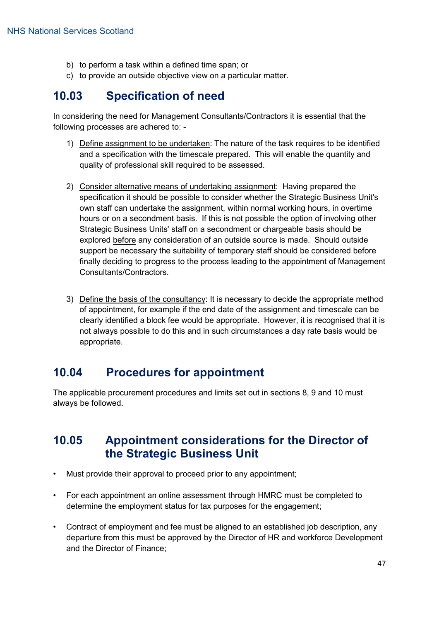- b) to perform a task within a defined time span; or
- c) to provide an outside objective view on a particular matter.

### **10.03 Specification of need**

In considering the need for Management Consultants/Contractors it is essential that the following processes are adhered to: -

- 1) Define assignment to be undertaken: The nature of the task requires to be identified and a specification with the timescale prepared. This will enable the quantity and quality of professional skill required to be assessed.
- 2) Consider alternative means of undertaking assignment: Having prepared the specification it should be possible to consider whether the Strategic Business Unit's own staff can undertake the assignment, within normal working hours, in overtime hours or on a secondment basis. If this is not possible the option of involving other Strategic Business Units' staff on a secondment or chargeable basis should be explored before any consideration of an outside source is made. Should outside support be necessary the suitability of temporary staff should be considered before finally deciding to progress to the process leading to the appointment of Management Consultants/Contractors.
- 3) Define the basis of the consultancy: It is necessary to decide the appropriate method of appointment, for example if the end date of the assignment and timescale can be clearly identified a block fee would be appropriate. However, it is recognised that it is not always possible to do this and in such circumstances a day rate basis would be appropriate.

### **10.04 Procedures for appointment**

The applicable procurement procedures and limits set out in sections 8, 9 and 10 must always be followed.

### **10.05 Appointment considerations for the Director of the Strategic Business Unit**

- Must provide their approval to proceed prior to any appointment;
- For each appointment an online assessment through HMRC must be completed to determine the employment status for tax purposes for the engagement;
- Contract of employment and fee must be aligned to an established job description, any departure from this must be approved by the Director of HR and workforce Development and the Director of Finance;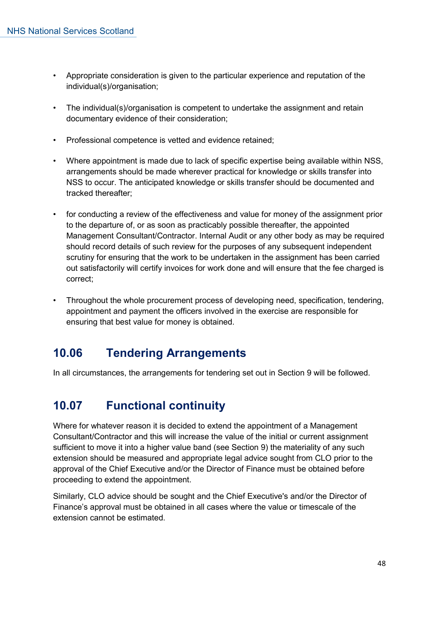- Appropriate consideration is given to the particular experience and reputation of the individual(s)/organisation;
- The individual(s)/organisation is competent to undertake the assignment and retain documentary evidence of their consideration;
- Professional competence is vetted and evidence retained;
- Where appointment is made due to lack of specific expertise being available within NSS, arrangements should be made wherever practical for knowledge or skills transfer into NSS to occur. The anticipated knowledge or skills transfer should be documented and tracked thereafter;
- for conducting a review of the effectiveness and value for money of the assignment prior to the departure of, or as soon as practicably possible thereafter, the appointed Management Consultant/Contractor. Internal Audit or any other body as may be required should record details of such review for the purposes of any subsequent independent scrutiny for ensuring that the work to be undertaken in the assignment has been carried out satisfactorily will certify invoices for work done and will ensure that the fee charged is correct;
- Throughout the whole procurement process of developing need, specification, tendering, appointment and payment the officers involved in the exercise are responsible for ensuring that best value for money is obtained.

### **10.06 Tendering Arrangements**

In all circumstances, the arrangements for tendering set out in Section 9 will be followed.

### **10.07 Functional continuity**

Where for whatever reason it is decided to extend the appointment of a Management Consultant/Contractor and this will increase the value of the initial or current assignment sufficient to move it into a higher value band (see Section 9) the materiality of any such extension should be measured and appropriate legal advice sought from CLO prior to the approval of the Chief Executive and/or the Director of Finance must be obtained before proceeding to extend the appointment.

Similarly, CLO advice should be sought and the Chief Executive's and/or the Director of Finance's approval must be obtained in all cases where the value or timescale of the extension cannot be estimated.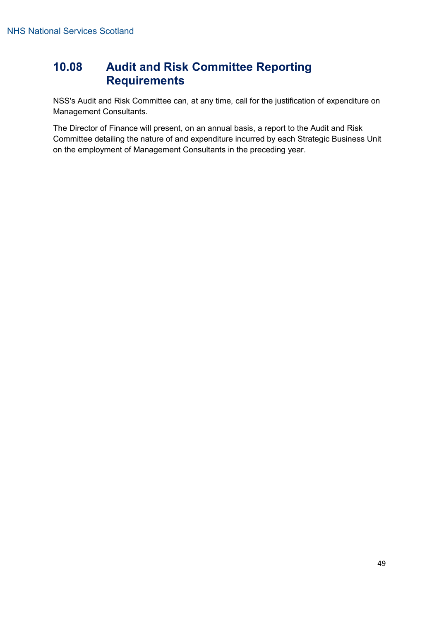### **10.08 Audit and Risk Committee Reporting Requirements**

NSS's Audit and Risk Committee can, at any time, call for the justification of expenditure on Management Consultants.

The Director of Finance will present, on an annual basis, a report to the Audit and Risk Committee detailing the nature of and expenditure incurred by each Strategic Business Unit on the employment of Management Consultants in the preceding year.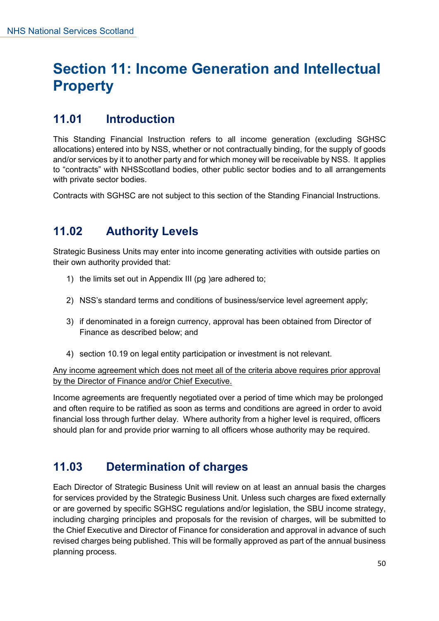### **Section 11: Income Generation and Intellectual Property**

### **11.01 Introduction**

This Standing Financial Instruction refers to all income generation (excluding SGHSC allocations) entered into by NSS, whether or not contractually binding, for the supply of goods and/or services by it to another party and for which money will be receivable by NSS. It applies to "contracts" with NHSScotland bodies, other public sector bodies and to all arrangements with private sector bodies.

Contracts with SGHSC are not subject to this section of the Standing Financial Instructions.

### **11.02 Authority Levels**

Strategic Business Units may enter into income generating activities with outside parties on their own authority provided that:

- 1) the limits set out in Appendix III (pg )are adhered to;
- 2) NSS's standard terms and conditions of business/service level agreement apply;
- 3) if denominated in a foreign currency, approval has been obtained from Director of Finance as described below; and
- 4) section 10.19 on legal entity participation or investment is not relevant.

Any income agreement which does not meet all of the criteria above requires prior approval by the Director of Finance and/or Chief Executive.

Income agreements are frequently negotiated over a period of time which may be prolonged and often require to be ratified as soon as terms and conditions are agreed in order to avoid financial loss through further delay. Where authority from a higher level is required, officers should plan for and provide prior warning to all officers whose authority may be required.

### **11.03 Determination of charges**

Each Director of Strategic Business Unit will review on at least an annual basis the charges for services provided by the Strategic Business Unit. Unless such charges are fixed externally or are governed by specific SGHSC regulations and/or legislation, the SBU income strategy, including charging principles and proposals for the revision of charges, will be submitted to the Chief Executive and Director of Finance for consideration and approval in advance of such revised charges being published. This will be formally approved as part of the annual business planning process.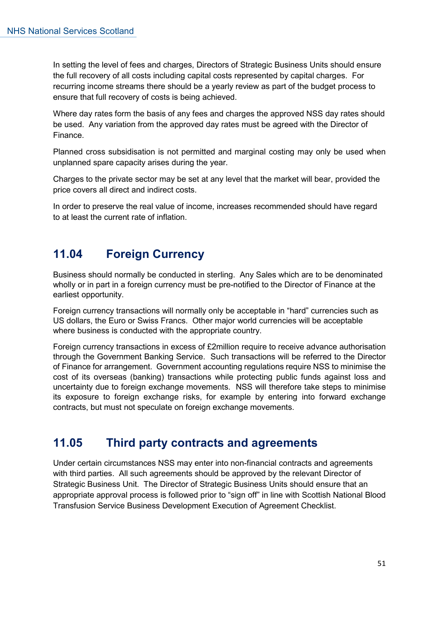In setting the level of fees and charges, Directors of Strategic Business Units should ensure the full recovery of all costs including capital costs represented by capital charges. For recurring income streams there should be a yearly review as part of the budget process to ensure that full recovery of costs is being achieved.

Where day rates form the basis of any fees and charges the approved NSS day rates should be used. Any variation from the approved day rates must be agreed with the Director of Finance.

Planned cross subsidisation is not permitted and marginal costing may only be used when unplanned spare capacity arises during the year.

Charges to the private sector may be set at any level that the market will bear, provided the price covers all direct and indirect costs.

In order to preserve the real value of income, increases recommended should have regard to at least the current rate of inflation.

### **11.04 Foreign Currency**

Business should normally be conducted in sterling. Any Sales which are to be denominated wholly or in part in a foreign currency must be pre-notified to the Director of Finance at the earliest opportunity.

Foreign currency transactions will normally only be acceptable in "hard" currencies such as US dollars, the Euro or Swiss Francs. Other major world currencies will be acceptable where business is conducted with the appropriate country.

Foreign currency transactions in excess of £2million require to receive advance authorisation through the Government Banking Service. Such transactions will be referred to the Director of Finance for arrangement. Government accounting regulations require NSS to minimise the cost of its overseas (banking) transactions while protecting public funds against loss and uncertainty due to foreign exchange movements. NSS will therefore take steps to minimise its exposure to foreign exchange risks, for example by entering into forward exchange contracts, but must not speculate on foreign exchange movements.

### **11.05 Third party contracts and agreements**

Under certain circumstances NSS may enter into non-financial contracts and agreements with third parties. All such agreements should be approved by the relevant Director of Strategic Business Unit. The Director of Strategic Business Units should ensure that an appropriate approval process is followed prior to "sign off" in line with Scottish National Blood Transfusion Service Business Development Execution of Agreement Checklist.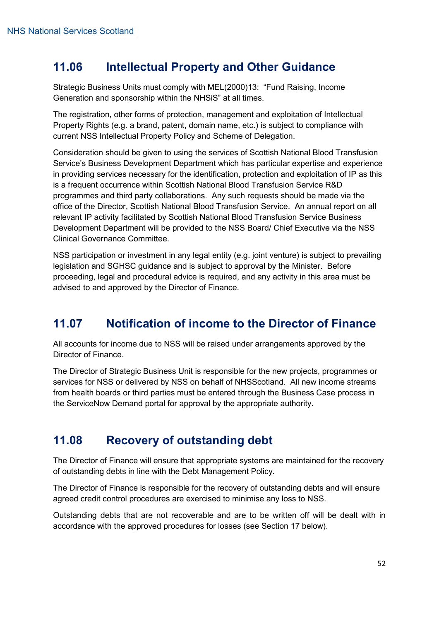### **11.06 Intellectual Property and Other Guidance**

Strategic Business Units must comply with MEL(2000)13: "Fund Raising, Income Generation and sponsorship within the NHSiS" at all times.

The registration, other forms of protection, management and exploitation of Intellectual Property Rights (e.g. a brand, patent, domain name, etc.) is subject to compliance with current NSS Intellectual Property Policy and Scheme of Delegation.

Consideration should be given to using the services of Scottish National Blood Transfusion Service's Business Development Department which has particular expertise and experience in providing services necessary for the identification, protection and exploitation of IP as this is a frequent occurrence within Scottish National Blood Transfusion Service R&D programmes and third party collaborations. Any such requests should be made via the office of the Director, Scottish National Blood Transfusion Service. An annual report on all relevant IP activity facilitated by Scottish National Blood Transfusion Service Business Development Department will be provided to the NSS Board/ Chief Executive via the NSS Clinical Governance Committee.

NSS participation or investment in any legal entity (e.g. joint venture) is subject to prevailing legislation and SGHSC guidance and is subject to approval by the Minister. Before proceeding, legal and procedural advice is required, and any activity in this area must be advised to and approved by the Director of Finance.

### **11.07 Notification of income to the Director of Finance**

All accounts for income due to NSS will be raised under arrangements approved by the Director of Finance.

The Director of Strategic Business Unit is responsible for the new projects, programmes or services for NSS or delivered by NSS on behalf of NHSScotland. All new income streams from health boards or third parties must be entered through the Business Case process in the ServiceNow Demand portal for approval by the appropriate authority.

### **11.08 Recovery of outstanding debt**

The Director of Finance will ensure that appropriate systems are maintained for the recovery of outstanding debts in line with the Debt Management Policy.

The Director of Finance is responsible for the recovery of outstanding debts and will ensure agreed credit control procedures are exercised to minimise any loss to NSS.

Outstanding debts that are not recoverable and are to be written off will be dealt with in accordance with the approved procedures for losses (see Section 17 below).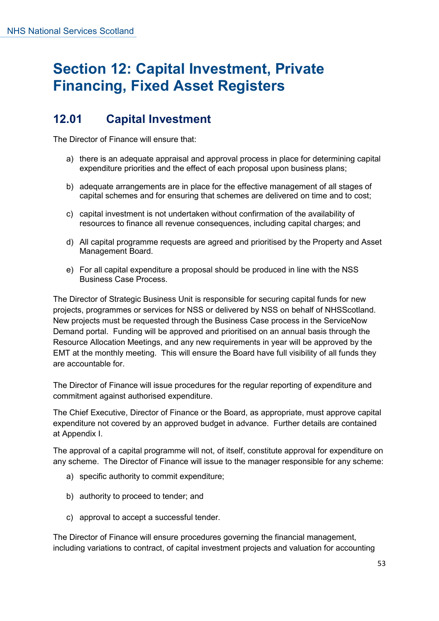### **Section 12: Capital Investment, Private Financing, Fixed Asset Registers**

### **12.01 Capital Investment**

The Director of Finance will ensure that:

- a) there is an adequate appraisal and approval process in place for determining capital expenditure priorities and the effect of each proposal upon business plans;
- b) adequate arrangements are in place for the effective management of all stages of capital schemes and for ensuring that schemes are delivered on time and to cost;
- c) capital investment is not undertaken without confirmation of the availability of resources to finance all revenue consequences, including capital charges; and
- d) All capital programme requests are agreed and prioritised by the Property and Asset Management Board.
- e) For all capital expenditure a proposal should be produced in line with the NSS Business Case Process.

The Director of Strategic Business Unit is responsible for securing capital funds for new projects, programmes or services for NSS or delivered by NSS on behalf of NHSScotland. New projects must be requested through the Business Case process in the ServiceNow Demand portal. Funding will be approved and prioritised on an annual basis through the Resource Allocation Meetings, and any new requirements in year will be approved by the EMT at the monthly meeting. This will ensure the Board have full visibility of all funds they are accountable for.

The Director of Finance will issue procedures for the regular reporting of expenditure and commitment against authorised expenditure.

The Chief Executive, Director of Finance or the Board, as appropriate, must approve capital expenditure not covered by an approved budget in advance. Further details are contained at Appendix I.

The approval of a capital programme will not, of itself, constitute approval for expenditure on any scheme. The Director of Finance will issue to the manager responsible for any scheme:

- a) specific authority to commit expenditure;
- b) authority to proceed to tender; and
- c) approval to accept a successful tender.

The Director of Finance will ensure procedures governing the financial management, including variations to contract, of capital investment projects and valuation for accounting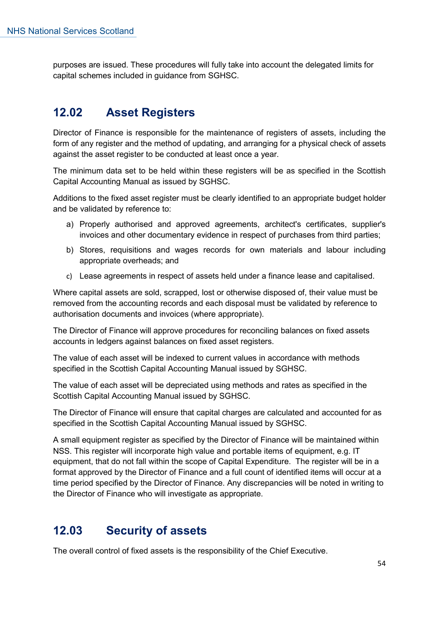purposes are issued. These procedures will fully take into account the delegated limits for capital schemes included in guidance from SGHSC.

### **12.02 Asset Registers**

Director of Finance is responsible for the maintenance of registers of assets, including the form of any register and the method of updating, and arranging for a physical check of assets against the asset register to be conducted at least once a year.

The minimum data set to be held within these registers will be as specified in the Scottish Capital Accounting Manual as issued by SGHSC.

Additions to the fixed asset register must be clearly identified to an appropriate budget holder and be validated by reference to:

- a) Properly authorised and approved agreements, architect's certificates, supplier's invoices and other documentary evidence in respect of purchases from third parties;
- b) Stores, requisitions and wages records for own materials and labour including appropriate overheads; and
- c) Lease agreements in respect of assets held under a finance lease and capitalised.

Where capital assets are sold, scrapped, lost or otherwise disposed of, their value must be removed from the accounting records and each disposal must be validated by reference to authorisation documents and invoices (where appropriate).

The Director of Finance will approve procedures for reconciling balances on fixed assets accounts in ledgers against balances on fixed asset registers.

The value of each asset will be indexed to current values in accordance with methods specified in the Scottish Capital Accounting Manual issued by SGHSC.

The value of each asset will be depreciated using methods and rates as specified in the Scottish Capital Accounting Manual issued by SGHSC.

The Director of Finance will ensure that capital charges are calculated and accounted for as specified in the Scottish Capital Accounting Manual issued by SGHSC.

A small equipment register as specified by the Director of Finance will be maintained within NSS. This register will incorporate high value and portable items of equipment, e.g. IT equipment, that do not fall within the scope of Capital Expenditure. The register will be in a format approved by the Director of Finance and a full count of identified items will occur at a time period specified by the Director of Finance. Any discrepancies will be noted in writing to the Director of Finance who will investigate as appropriate.

### **12.03 Security of assets**

The overall control of fixed assets is the responsibility of the Chief Executive.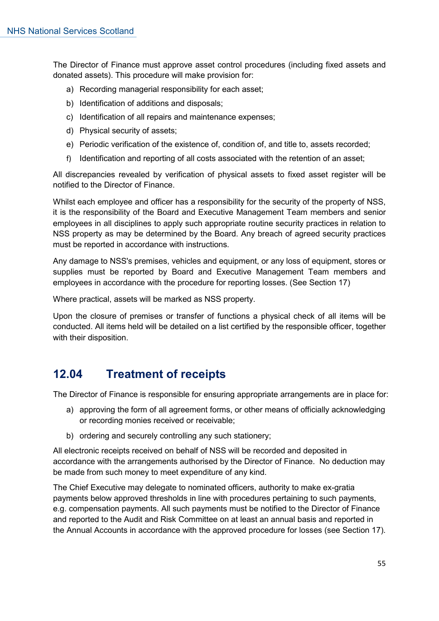The Director of Finance must approve asset control procedures (including fixed assets and donated assets). This procedure will make provision for:

- a) Recording managerial responsibility for each asset;
- b) Identification of additions and disposals;
- c) Identification of all repairs and maintenance expenses;
- d) Physical security of assets;
- e) Periodic verification of the existence of, condition of, and title to, assets recorded;
- f) Identification and reporting of all costs associated with the retention of an asset;

All discrepancies revealed by verification of physical assets to fixed asset register will be notified to the Director of Finance.

Whilst each employee and officer has a responsibility for the security of the property of NSS, it is the responsibility of the Board and Executive Management Team members and senior employees in all disciplines to apply such appropriate routine security practices in relation to NSS property as may be determined by the Board. Any breach of agreed security practices must be reported in accordance with instructions.

Any damage to NSS's premises, vehicles and equipment, or any loss of equipment, stores or supplies must be reported by Board and Executive Management Team members and employees in accordance with the procedure for reporting losses. (See Section 17)

Where practical, assets will be marked as NSS property.

Upon the closure of premises or transfer of functions a physical check of all items will be conducted. All items held will be detailed on a list certified by the responsible officer, together with their disposition.

### **12.04 Treatment of receipts**

The Director of Finance is responsible for ensuring appropriate arrangements are in place for:

- a) approving the form of all agreement forms, or other means of officially acknowledging or recording monies received or receivable;
- b) ordering and securely controlling any such stationery;

All electronic receipts received on behalf of NSS will be recorded and deposited in accordance with the arrangements authorised by the Director of Finance. No deduction may be made from such money to meet expenditure of any kind.

The Chief Executive may delegate to nominated officers, authority to make ex-gratia payments below approved thresholds in line with procedures pertaining to such payments, e.g. compensation payments. All such payments must be notified to the Director of Finance and reported to the Audit and Risk Committee on at least an annual basis and reported in the Annual Accounts in accordance with the approved procedure for losses (see Section 17).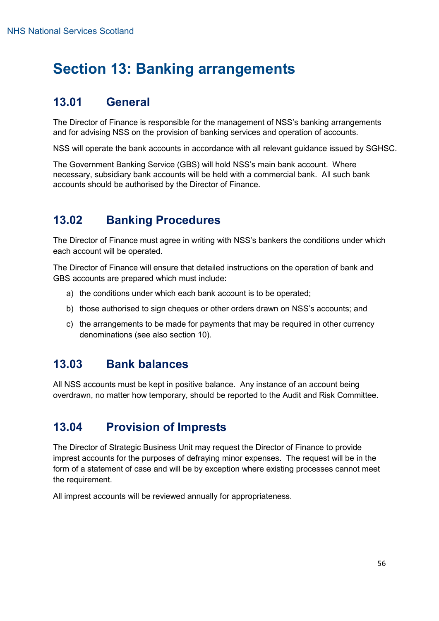### **Section 13: Banking arrangements**

### **13.01 General**

The Director of Finance is responsible for the management of NSS's banking arrangements and for advising NSS on the provision of banking services and operation of accounts.

NSS will operate the bank accounts in accordance with all relevant guidance issued by SGHSC.

The Government Banking Service (GBS) will hold NSS's main bank account. Where necessary, subsidiary bank accounts will be held with a commercial bank. All such bank accounts should be authorised by the Director of Finance.

### **13.02 Banking Procedures**

The Director of Finance must agree in writing with NSS's bankers the conditions under which each account will be operated.

The Director of Finance will ensure that detailed instructions on the operation of bank and GBS accounts are prepared which must include:

- a) the conditions under which each bank account is to be operated;
- b) those authorised to sign cheques or other orders drawn on NSS's accounts; and
- c) the arrangements to be made for payments that may be required in other currency denominations (see also section 10).

### **13.03 Bank balances**

All NSS accounts must be kept in positive balance. Any instance of an account being overdrawn, no matter how temporary, should be reported to the Audit and Risk Committee.

### **13.04 Provision of Imprests**

The Director of Strategic Business Unit may request the Director of Finance to provide imprest accounts for the purposes of defraying minor expenses. The request will be in the form of a statement of case and will be by exception where existing processes cannot meet the requirement.

All imprest accounts will be reviewed annually for appropriateness.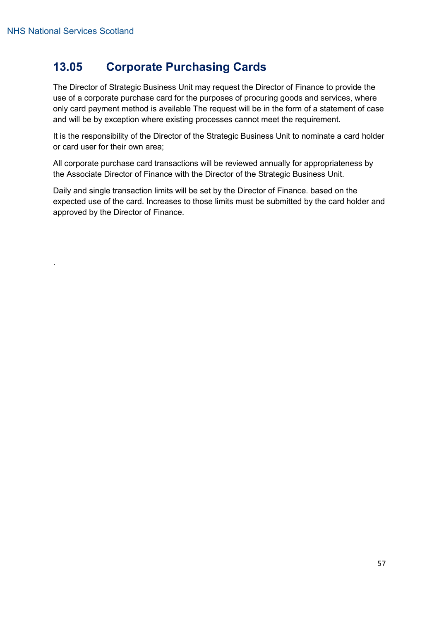.

### **13.05 Corporate Purchasing Cards**

The Director of Strategic Business Unit may request the Director of Finance to provide the use of a corporate purchase card for the purposes of procuring goods and services, where only card payment method is available The request will be in the form of a statement of case and will be by exception where existing processes cannot meet the requirement.

It is the responsibility of the Director of the Strategic Business Unit to nominate a card holder or card user for their own area;

All corporate purchase card transactions will be reviewed annually for appropriateness by the Associate Director of Finance with the Director of the Strategic Business Unit.

Daily and single transaction limits will be set by the Director of Finance. based on the expected use of the card. Increases to those limits must be submitted by the card holder and approved by the Director of Finance.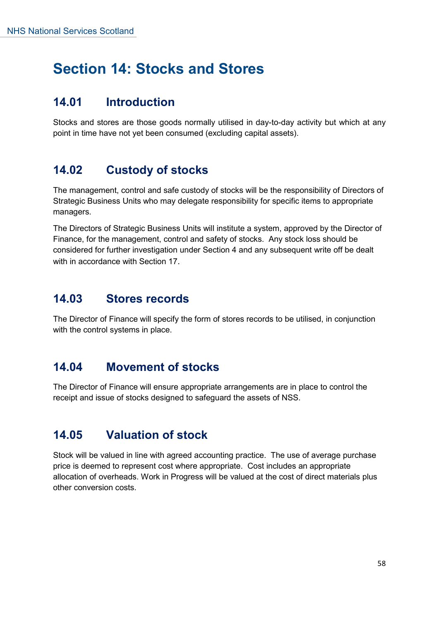### **Section 14: Stocks and Stores**

### **14.01 Introduction**

Stocks and stores are those goods normally utilised in day-to-day activity but which at any point in time have not yet been consumed (excluding capital assets).

### **14.02 Custody of stocks**

The management, control and safe custody of stocks will be the responsibility of Directors of Strategic Business Units who may delegate responsibility for specific items to appropriate managers.

The Directors of Strategic Business Units will institute a system, approved by the Director of Finance, for the management, control and safety of stocks. Any stock loss should be considered for further investigation under Section 4 and any subsequent write off be dealt with in accordance with Section 17

### **14.03 Stores records**

The Director of Finance will specify the form of stores records to be utilised, in conjunction with the control systems in place.

### **14.04 Movement of stocks**

The Director of Finance will ensure appropriate arrangements are in place to control the receipt and issue of stocks designed to safeguard the assets of NSS.

### **14.05 Valuation of stock**

Stock will be valued in line with agreed accounting practice. The use of average purchase price is deemed to represent cost where appropriate. Cost includes an appropriate allocation of overheads. Work in Progress will be valued at the cost of direct materials plus other conversion costs.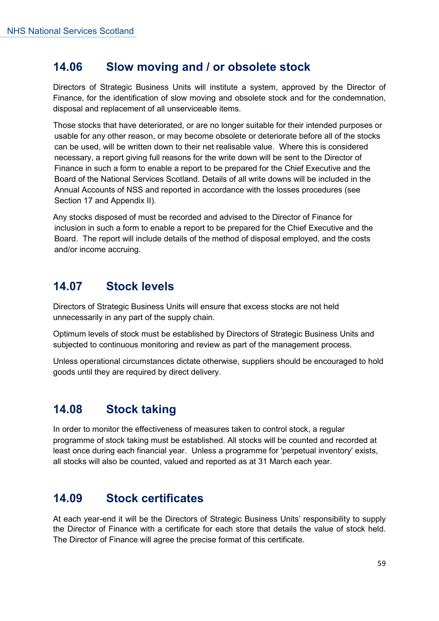### **14.06 Slow moving and / or obsolete stock**

Directors of Strategic Business Units will institute a system, approved by the Director of Finance, for the identification of slow moving and obsolete stock and for the condemnation, disposal and replacement of all unserviceable items.

Those stocks that have deteriorated, or are no longer suitable for their intended purposes or usable for any other reason, or may become obsolete or deteriorate before all of the stocks can be used, will be written down to their net realisable value. Where this is considered necessary, a report giving full reasons for the write down will be sent to the Director of Finance in such a form to enable a report to be prepared for the Chief Executive and the Board of the National Services Scotland. Details of all write downs will be included in the Annual Accounts of NSS and reported in accordance with the losses procedures (see Section 17 and Appendix II).

Any stocks disposed of must be recorded and advised to the Director of Finance for inclusion in such a form to enable a report to be prepared for the Chief Executive and the Board. The report will include details of the method of disposal employed, and the costs and/or income accruing.

### **14.07 Stock levels**

Directors of Strategic Business Units will ensure that excess stocks are not held unnecessarily in any part of the supply chain.

Optimum levels of stock must be established by Directors of Strategic Business Units and subjected to continuous monitoring and review as part of the management process.

Unless operational circumstances dictate otherwise, suppliers should be encouraged to hold goods until they are required by direct delivery.

### **14.08 Stock taking**

In order to monitor the effectiveness of measures taken to control stock, a regular programme of stock taking must be established. All stocks will be counted and recorded at least once during each financial year. Unless a programme for 'perpetual inventory' exists, all stocks will also be counted, valued and reported as at 31 March each year.

### **14.09 Stock certificates**

At each year-end it will be the Directors of Strategic Business Units' responsibility to supply the Director of Finance with a certificate for each store that details the value of stock held. The Director of Finance will agree the precise format of this certificate.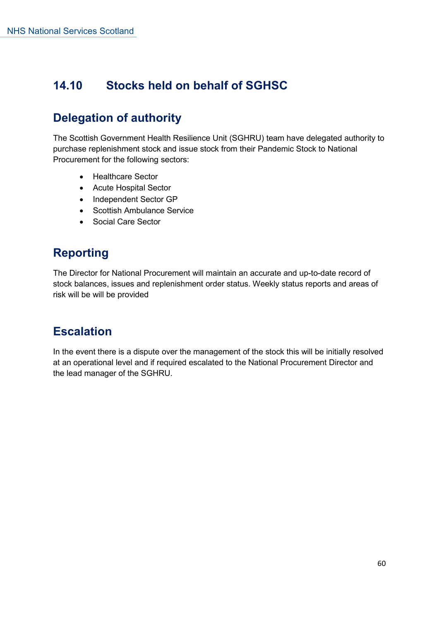### **14.10 Stocks held on behalf of SGHSC**

### **Delegation of authority**

The Scottish Government Health Resilience Unit (SGHRU) team have delegated authority to purchase replenishment stock and issue stock from their Pandemic Stock to National Procurement for the following sectors:

- Healthcare Sector
- Acute Hospital Sector
- Independent Sector GP
- Scottish Ambulance Service
- Social Care Sector

### **Reporting**

The Director for National Procurement will maintain an accurate and up-to-date record of stock balances, issues and replenishment order status. Weekly status reports and areas of risk will be will be provided

### **Escalation**

In the event there is a dispute over the management of the stock this will be initially resolved at an operational level and if required escalated to the National Procurement Director and the lead manager of the SGHRU.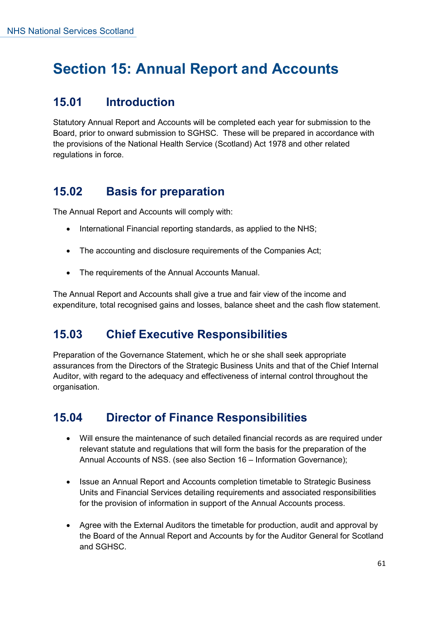### **Section 15: Annual Report and Accounts**

### **15.01 Introduction**

Statutory Annual Report and Accounts will be completed each year for submission to the Board, prior to onward submission to SGHSC. These will be prepared in accordance with the provisions of the National Health Service (Scotland) Act 1978 and other related regulations in force.

### **15.02 Basis for preparation**

The Annual Report and Accounts will comply with:

- International Financial reporting standards, as applied to the NHS;
- The accounting and disclosure requirements of the Companies Act;
- The requirements of the Annual Accounts Manual.

The Annual Report and Accounts shall give a true and fair view of the income and expenditure, total recognised gains and losses, balance sheet and the cash flow statement.

### **15.03 Chief Executive Responsibilities**

Preparation of the Governance Statement, which he or she shall seek appropriate assurances from the Directors of the Strategic Business Units and that of the Chief Internal Auditor, with regard to the adequacy and effectiveness of internal control throughout the organisation.

### **15.04 Director of Finance Responsibilities**

- Will ensure the maintenance of such detailed financial records as are required under relevant statute and regulations that will form the basis for the preparation of the Annual Accounts of NSS. (see also Section 16 – Information Governance);
- Issue an Annual Report and Accounts completion timetable to Strategic Business Units and Financial Services detailing requirements and associated responsibilities for the provision of information in support of the Annual Accounts process.
- Agree with the External Auditors the timetable for production, audit and approval by the Board of the Annual Report and Accounts by for the Auditor General for Scotland and SGHSC.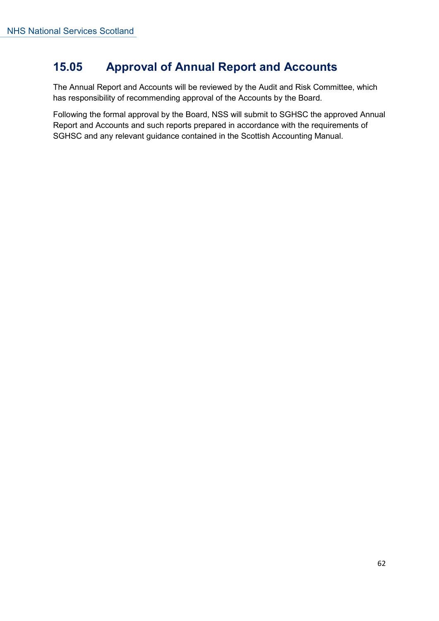### **15.05 Approval of Annual Report and Accounts**

The Annual Report and Accounts will be reviewed by the Audit and Risk Committee, which has responsibility of recommending approval of the Accounts by the Board.

Following the formal approval by the Board, NSS will submit to SGHSC the approved Annual Report and Accounts and such reports prepared in accordance with the requirements of SGHSC and any relevant guidance contained in the Scottish Accounting Manual.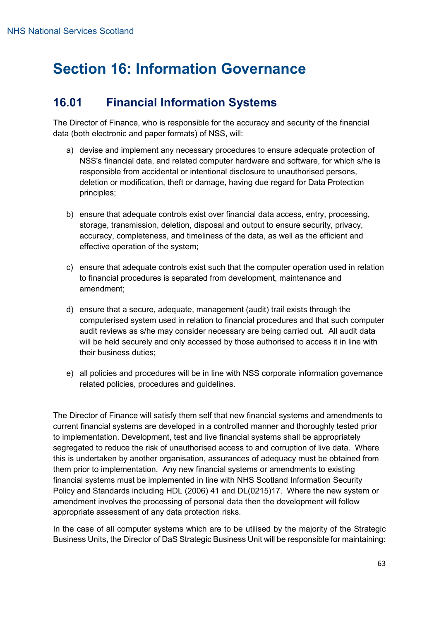### **Section 16: Information Governance**

### **16.01 Financial Information Systems**

The Director of Finance, who is responsible for the accuracy and security of the financial data (both electronic and paper formats) of NSS, will:

- a) devise and implement any necessary procedures to ensure adequate protection of NSS's financial data, and related computer hardware and software, for which s/he is responsible from accidental or intentional disclosure to unauthorised persons, deletion or modification, theft or damage, having due regard for Data Protection principles;
- b) ensure that adequate controls exist over financial data access, entry, processing, storage, transmission, deletion, disposal and output to ensure security, privacy, accuracy, completeness, and timeliness of the data, as well as the efficient and effective operation of the system;
- c) ensure that adequate controls exist such that the computer operation used in relation to financial procedures is separated from development, maintenance and amendment;
- d) ensure that a secure, adequate, management (audit) trail exists through the computerised system used in relation to financial procedures and that such computer audit reviews as s/he may consider necessary are being carried out. All audit data will be held securely and only accessed by those authorised to access it in line with their business duties;
- e) all policies and procedures will be in line with NSS corporate information governance related policies, procedures and guidelines.

The Director of Finance will satisfy them self that new financial systems and amendments to current financial systems are developed in a controlled manner and thoroughly tested prior to implementation. Development, test and live financial systems shall be appropriately segregated to reduce the risk of unauthorised access to and corruption of live data. Where this is undertaken by another organisation, assurances of adequacy must be obtained from them prior to implementation. Any new financial systems or amendments to existing financial systems must be implemented in line with NHS Scotland Information Security Policy and Standards including HDL (2006) 41 and DL(0215)17. Where the new system or amendment involves the processing of personal data then the development will follow appropriate assessment of any data protection risks.

In the case of all computer systems which are to be utilised by the majority of the Strategic Business Units, the Director of DaS Strategic Business Unit will be responsible for maintaining: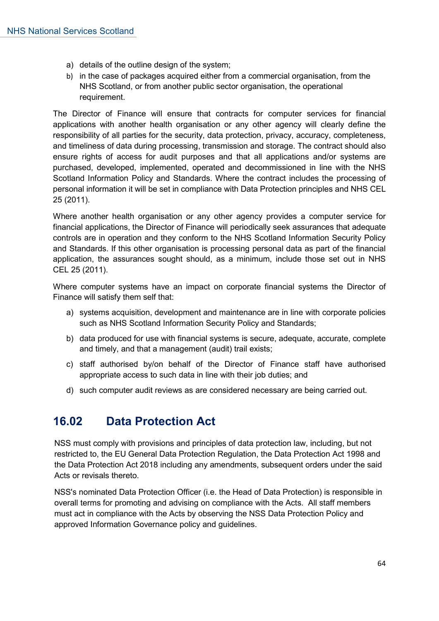- a) details of the outline design of the system;
- b) in the case of packages acquired either from a commercial organisation, from the NHS Scotland, or from another public sector organisation, the operational requirement.

The Director of Finance will ensure that contracts for computer services for financial applications with another health organisation or any other agency will clearly define the responsibility of all parties for the security, data protection, privacy, accuracy, completeness, and timeliness of data during processing, transmission and storage. The contract should also ensure rights of access for audit purposes and that all applications and/or systems are purchased, developed, implemented, operated and decommissioned in line with the NHS Scotland Information Policy and Standards. Where the contract includes the processing of personal information it will be set in compliance with Data Protection principles and NHS CEL 25 (2011).

Where another health organisation or any other agency provides a computer service for financial applications, the Director of Finance will periodically seek assurances that adequate controls are in operation and they conform to the NHS Scotland Information Security Policy and Standards. If this other organisation is processing personal data as part of the financial application, the assurances sought should, as a minimum, include those set out in NHS CEL 25 (2011).

Where computer systems have an impact on corporate financial systems the Director of Finance will satisfy them self that:

- a) systems acquisition, development and maintenance are in line with corporate policies such as NHS Scotland Information Security Policy and Standards;
- b) data produced for use with financial systems is secure, adequate, accurate, complete and timely, and that a management (audit) trail exists;
- c) staff authorised by/on behalf of the Director of Finance staff have authorised appropriate access to such data in line with their job duties; and
- d) such computer audit reviews as are considered necessary are being carried out.

### **16.02 Data Protection Act**

NSS must comply with provisions and principles of data protection law, including, but not restricted to, the EU General Data Protection Regulation, the Data Protection Act 1998 and the Data Protection Act 2018 including any amendments, subsequent orders under the said Acts or revisals thereto.

NSS's nominated Data Protection Officer (i.e. the Head of Data Protection) is responsible in overall terms for promoting and advising on compliance with the Acts. All staff members must act in compliance with the Acts by observing the NSS Data Protection Policy and approved Information Governance policy and guidelines.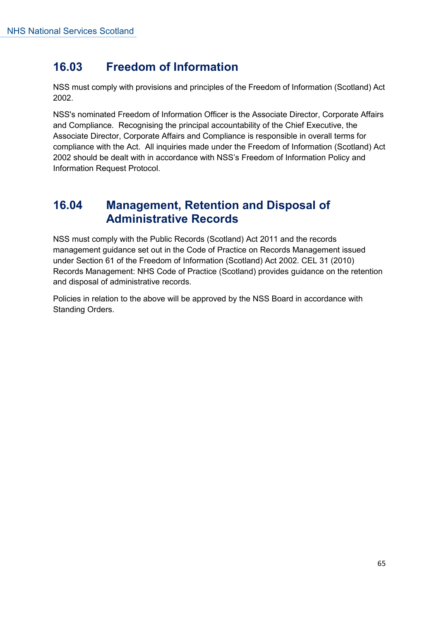### **16.03 Freedom of Information**

NSS must comply with provisions and principles of the Freedom of Information (Scotland) Act 2002.

NSS's nominated Freedom of Information Officer is the Associate Director, Corporate Affairs and Compliance. Recognising the principal accountability of the Chief Executive, the Associate Director, Corporate Affairs and Compliance is responsible in overall terms for compliance with the Act. All inquiries made under the Freedom of Information (Scotland) Act 2002 should be dealt with in accordance with NSS's Freedom of Information Policy and Information Request Protocol.

#### **16.04 Management, Retention and Disposal of Administrative Records**

NSS must comply with the Public Records (Scotland) Act 2011 and the records management guidance set out in the Code of Practice on Records Management issued under Section 61 of the Freedom of Information (Scotland) Act 2002. CEL 31 (2010) Records Management: NHS Code of Practice (Scotland) provides guidance on the retention and disposal of administrative records.

Policies in relation to the above will be approved by the NSS Board in accordance with Standing Orders.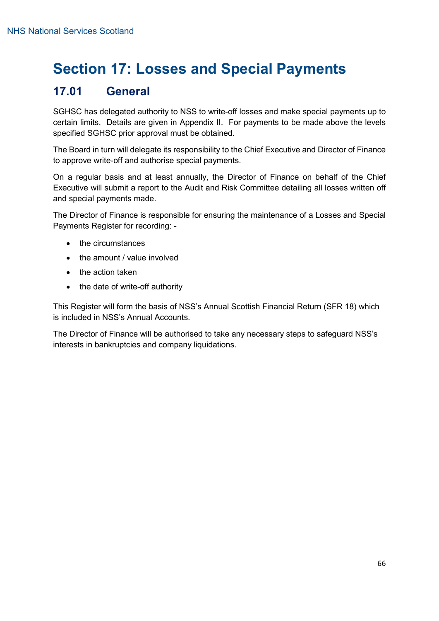# **Section 17: Losses and Special Payments**

### **17.01 General**

SGHSC has delegated authority to NSS to write-off losses and make special payments up to certain limits. Details are given in Appendix II. For payments to be made above the levels specified SGHSC prior approval must be obtained.

The Board in turn will delegate its responsibility to the Chief Executive and Director of Finance to approve write-off and authorise special payments.

On a regular basis and at least annually, the Director of Finance on behalf of the Chief Executive will submit a report to the Audit and Risk Committee detailing all losses written off and special payments made.

The Director of Finance is responsible for ensuring the maintenance of a Losses and Special Payments Register for recording: -

- the circumstances
- the amount / value involved
- the action taken
- the date of write-off authority

This Register will form the basis of NSS's Annual Scottish Financial Return (SFR 18) which is included in NSS's Annual Accounts.

The Director of Finance will be authorised to take any necessary steps to safeguard NSS's interests in bankruptcies and company liquidations.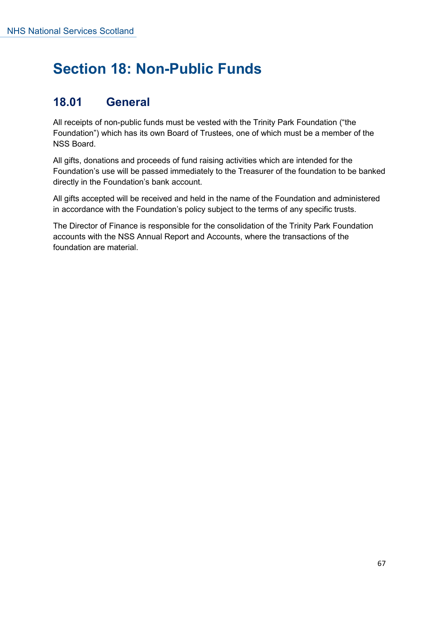## **Section 18: Non-Public Funds**

### **18.01 General**

All receipts of non-public funds must be vested with the Trinity Park Foundation ("the Foundation") which has its own Board of Trustees, one of which must be a member of the NSS Board.

All gifts, donations and proceeds of fund raising activities which are intended for the Foundation's use will be passed immediately to the Treasurer of the foundation to be banked directly in the Foundation's bank account.

All gifts accepted will be received and held in the name of the Foundation and administered in accordance with the Foundation's policy subject to the terms of any specific trusts.

The Director of Finance is responsible for the consolidation of the Trinity Park Foundation accounts with the NSS Annual Report and Accounts, where the transactions of the foundation are material.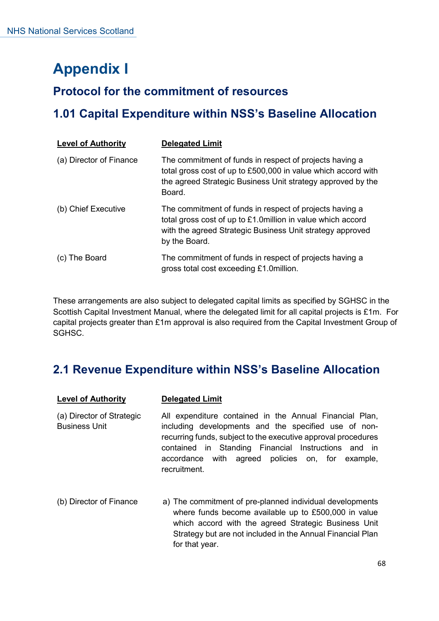# **Appendix I**

### **Protocol for the commitment of resources**

### **1.01 Capital Expenditure within NSS's Baseline Allocation**

| <b>Level of Authority</b> | <b>Delegated Limit</b>                                                                                                                                                                               |
|---------------------------|------------------------------------------------------------------------------------------------------------------------------------------------------------------------------------------------------|
| (a) Director of Finance   | The commitment of funds in respect of projects having a<br>total gross cost of up to £500,000 in value which accord with<br>the agreed Strategic Business Unit strategy approved by the<br>Board.    |
| (b) Chief Executive       | The commitment of funds in respect of projects having a<br>total gross cost of up to £1.0million in value which accord<br>with the agreed Strategic Business Unit strategy approved<br>by the Board. |
| The Board<br>(C)          | The commitment of funds in respect of projects having a<br>gross total cost exceeding £1.0million.                                                                                                   |

These arrangements are also subject to delegated capital limits as specified by SGHSC in the Scottish Capital Investment Manual, where the delegated limit for all capital projects is £1m. For capital projects greater than £1m approval is also required from the Capital Investment Group of SGHSC.

### **2.1 Revenue Expenditure within NSS's Baseline Allocation**

| <b>Level of Authority</b>                         | <b>Delegated Limit</b>                                                                                                                                                                                                                                                                                      |
|---------------------------------------------------|-------------------------------------------------------------------------------------------------------------------------------------------------------------------------------------------------------------------------------------------------------------------------------------------------------------|
| (a) Director of Strategic<br><b>Business Unit</b> | All expenditure contained in the Annual Financial Plan,<br>including developments and the specified use of non-<br>recurring funds, subject to the executive approval procedures<br>contained in Standing Financial Instructions and in<br>accordance with agreed policies on, for example,<br>recruitment. |
| (b) Director of Finance                           | a) The commitment of pre-planned individual developments<br>where funds become available up to £500,000 in value<br>which accord with the agreed Strategic Business Unit<br>Strategy but are not included in the Annual Financial Plan<br>for that year.                                                    |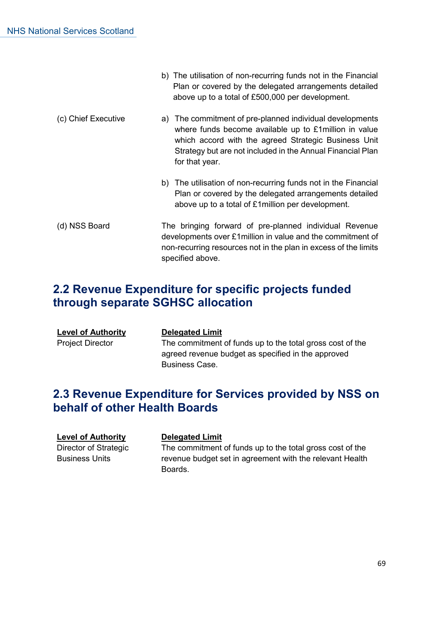|                     | b) The utilisation of non-recurring funds not in the Financial<br>Plan or covered by the delegated arrangements detailed<br>above up to a total of £500,000 per development.                                                                               |
|---------------------|------------------------------------------------------------------------------------------------------------------------------------------------------------------------------------------------------------------------------------------------------------|
| (c) Chief Executive | a) The commitment of pre-planned individual developments<br>where funds become available up to £1 million in value<br>which accord with the agreed Strategic Business Unit<br>Strategy but are not included in the Annual Financial Plan<br>for that year. |
|                     | b) The utilisation of non-recurring funds not in the Financial<br>Plan or covered by the delegated arrangements detailed<br>above up to a total of £1 million per development.                                                                             |
| (d) NSS Board       | The bringing forward of pre-planned individual Revenue<br>developments over £1 million in value and the commitment of<br>non-recurring resources not in the plan in excess of the limits<br>specified above.                                               |

### **2.2 Revenue Expenditure for specific projects funded through separate SGHSC allocation**

| <b>Level of Authority</b> | <b>Delegated Limit</b>                                    |
|---------------------------|-----------------------------------------------------------|
| <b>Project Director</b>   | The commitment of funds up to the total gross cost of the |
|                           | agreed revenue budget as specified in the approved        |
|                           | <b>Business Case.</b>                                     |

### **2.3 Revenue Expenditure for Services provided by NSS on behalf of other Health Boards**

#### **Level of Authority belegated Limit**

Director of Strategic Business Units

The commitment of funds up to the total gross cost of the revenue budget set in agreement with the relevant Health Boards.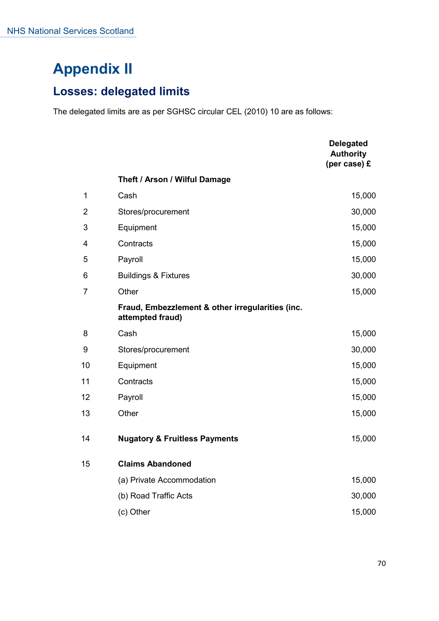# **Appendix II**

### **Losses: delegated limits**

The delegated limits are as per SGHSC circular CEL (2010) 10 are as follows:

|                |                                                                      | <b>Delegated</b><br><b>Authority</b><br>(per case) £ |
|----------------|----------------------------------------------------------------------|------------------------------------------------------|
|                | Theft / Arson / Wilful Damage                                        |                                                      |
| 1              | Cash                                                                 | 15,000                                               |
| $\overline{2}$ | Stores/procurement                                                   | 30,000                                               |
| 3              | Equipment                                                            | 15,000                                               |
| 4              | Contracts                                                            | 15,000                                               |
| 5              | Payroll                                                              | 15,000                                               |
| 6              | <b>Buildings &amp; Fixtures</b>                                      | 30,000                                               |
| $\overline{7}$ | Other                                                                | 15,000                                               |
|                | Fraud, Embezzlement & other irregularities (inc.<br>attempted fraud) |                                                      |
| 8              | Cash                                                                 | 15,000                                               |
| 9              | Stores/procurement                                                   | 30,000                                               |
| 10             | Equipment                                                            | 15,000                                               |
| 11             | Contracts                                                            | 15,000                                               |
| 12             | Payroll                                                              | 15,000                                               |
| 13             | Other                                                                | 15,000                                               |
| 14             | <b>Nugatory &amp; Fruitless Payments</b>                             | 15,000                                               |
| 15             | <b>Claims Abandoned</b>                                              |                                                      |
|                | (a) Private Accommodation                                            | 15,000                                               |
|                | (b) Road Traffic Acts                                                | 30,000                                               |
|                | (c) Other                                                            | 15,000                                               |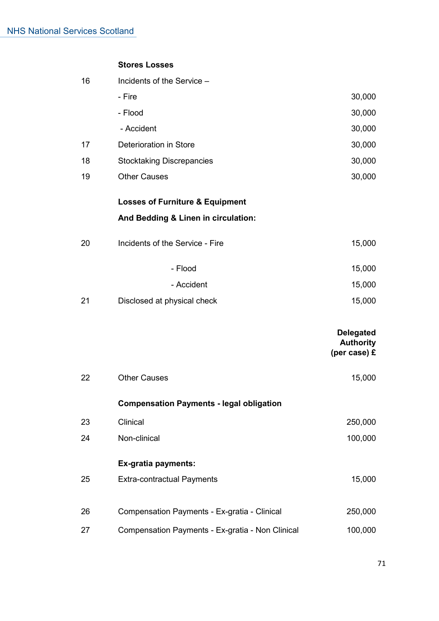#### **Stores Losses**

| 16 | Incidents of the Service -                       |                                                        |
|----|--------------------------------------------------|--------------------------------------------------------|
|    | - Fire                                           | 30,000                                                 |
|    | - Flood                                          | 30,000                                                 |
|    | - Accident                                       | 30,000                                                 |
| 17 | <b>Deterioration in Store</b>                    | 30,000                                                 |
| 18 | <b>Stocktaking Discrepancies</b>                 | 30,000                                                 |
| 19 | <b>Other Causes</b>                              | 30,000                                                 |
|    | <b>Losses of Furniture &amp; Equipment</b>       |                                                        |
|    | And Bedding & Linen in circulation:              |                                                        |
| 20 | Incidents of the Service - Fire                  | 15,000                                                 |
|    | - Flood                                          | 15,000                                                 |
|    | - Accident                                       | 15,000                                                 |
| 21 | Disclosed at physical check                      | 15,000                                                 |
|    |                                                  | <b>Delegated</b><br><b>Authority</b><br>(per case) $E$ |
| 22 | <b>Other Causes</b>                              | 15,000                                                 |
|    | <b>Compensation Payments - legal obligation</b>  |                                                        |
| 23 | Clinical                                         | 250,000                                                |
| 24 | Non-clinical                                     | 100,000                                                |
|    | Ex-gratia payments:                              |                                                        |
| 25 | <b>Extra-contractual Payments</b>                | 15,000                                                 |
| 26 | Compensation Payments - Ex-gratia - Clinical     | 250,000                                                |
| 27 | Compensation Payments - Ex-gratia - Non Clinical | 100,000                                                |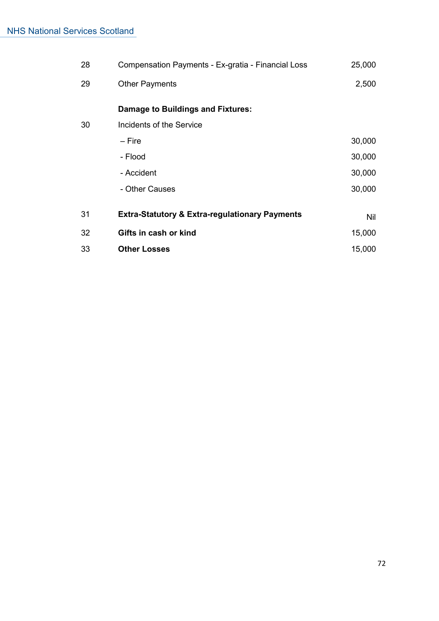| 28 | Compensation Payments - Ex-gratia - Financial Loss        | 25,000     |
|----|-----------------------------------------------------------|------------|
| 29 | <b>Other Payments</b>                                     | 2,500      |
|    | Damage to Buildings and Fixtures:                         |            |
| 30 | Incidents of the Service                                  |            |
|    | – Fire                                                    | 30,000     |
|    | - Flood                                                   | 30,000     |
|    | - Accident                                                | 30,000     |
|    | - Other Causes                                            | 30,000     |
| 31 | <b>Extra-Statutory &amp; Extra-regulationary Payments</b> | <b>Nil</b> |
|    |                                                           |            |
| 32 | Gifts in cash or kind                                     | 15,000     |
| 33 | <b>Other Losses</b>                                       | 15,000     |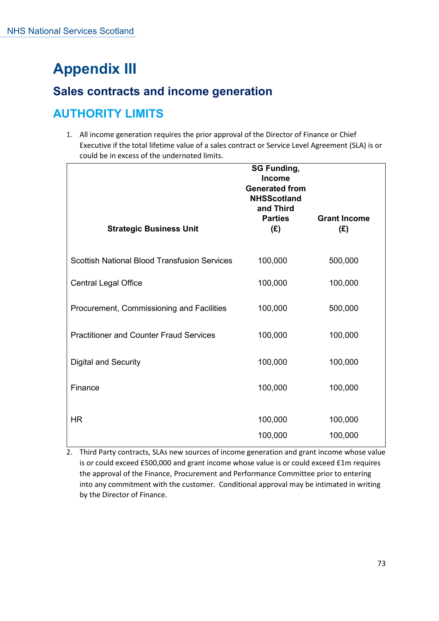## **Appendix III**

#### **Sales contracts and income generation**

### **AUTHORITY LIMITS**

1. All income generation requires the prior approval of the Director of Finance or Chief Executive if the total lifetime value of a sales contract or Service Level Agreement (SLA) is or could be in excess of the undernoted limits.

| <b>Strategic Business Unit</b>                      | <b>SG Funding,</b><br><b>Income</b><br><b>Generated from</b><br><b>NHSScotland</b><br>and Third<br><b>Parties</b><br>(E) | <b>Grant Income</b><br>(E) |
|-----------------------------------------------------|--------------------------------------------------------------------------------------------------------------------------|----------------------------|
| <b>Scottish National Blood Transfusion Services</b> | 100,000                                                                                                                  | 500,000                    |
| <b>Central Legal Office</b>                         | 100,000                                                                                                                  | 100,000                    |
| Procurement, Commissioning and Facilities           | 100,000                                                                                                                  | 500,000                    |
| <b>Practitioner and Counter Fraud Services</b>      | 100,000                                                                                                                  | 100,000                    |
| <b>Digital and Security</b>                         | 100,000                                                                                                                  | 100,000                    |
| Finance                                             | 100,000                                                                                                                  | 100,000                    |
| <b>HR</b>                                           | 100,000<br>100,000                                                                                                       | 100,000<br>100,000         |

2. Third Party contracts, SLAs new sources of income generation and grant income whose value is or could exceed £500,000 and grant income whose value is or could exceed £1m requires the approval of the Finance, Procurement and Performance Committee prior to entering into any commitment with the customer. Conditional approval may be intimated in writing by the Director of Finance.